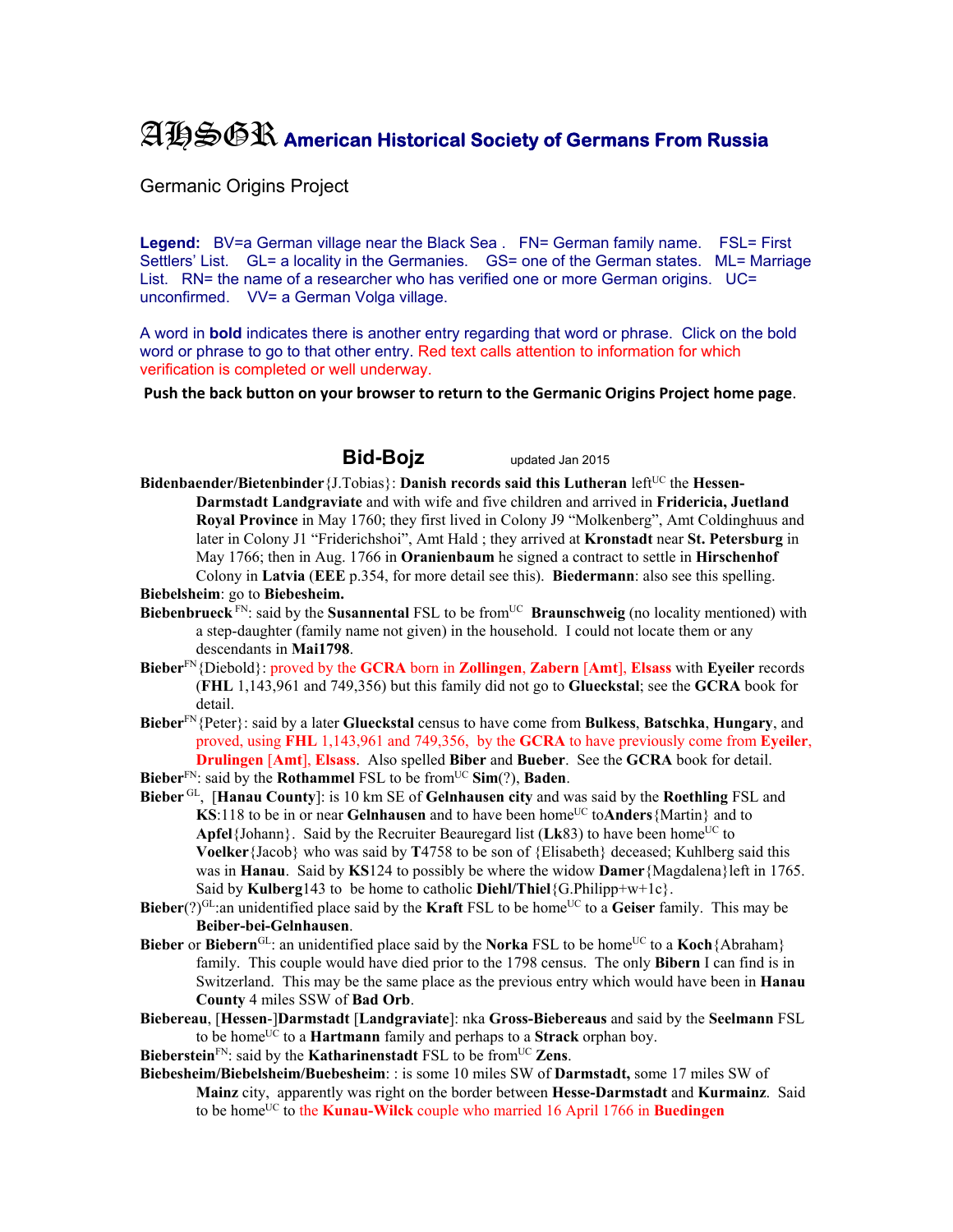# AHSGR **American Historical Society of Germans From Russia**

Germanic Origins Project

Legend: BV=a German village near the Black Sea . FN= German family name. FSL= First Settlers' List. GL= a locality in the Germanies. GS= one of the German states. ML= Marriage List. RN= the name of a researcher who has verified one or more German origins. UC= unconfirmed. VV= a German Volga village.

A word in **bold** indicates there is another entry regarding that word or phrase. Click on the bold word or phrase to go to that other entry. Red text calls attention to information for which verification is completed or well underway.

**Push the back button on your browser to return to the Germanic Origins Project home page**.

## **Bid-Bojz** updated Jan 2015

- **Bidenbaender/Bietenbinder** {J.Tobias}: **Danish records said this Lutheran** left<sup>UC</sup> the **Hessen-Darmstadt Landgraviate** and with wife and five children and arrived in **Fridericia, Juetland Royal Province** in May 1760; they first lived in Colony J9 "Molkenberg", Amt Coldinghuus and later in Colony J1 "Friderichshoi", Amt Hald ; they arrived at **Kronstadt** near **St. Petersburg** in May 1766; then in Aug. 1766 in **Oranienbaum** he signed a contract to settle in **Hirschenhof** Colony in **Latvia** (**EEE** p.354, for more detail see this). **Biedermann**: also see this spelling. **Biebelsheim**: go to **Biebesheim.**
- **Biebenbrueck** FN: said by the **Susannental** FSL to be from<sup>UC</sup> **Braunschweig** (no locality mentioned) with a step-daughter (family name not given) in the household. I could not locate them or any descendants in **Mai1798**.
- **Bieber**FN{Diebold}: proved by the **GCRA** born in **Zollingen**, **Zabern** [**Amt**], **Elsass** with **Eyeiler** records (**FHL** 1,143,961 and 749,356) but this family did not go to **Glueckstal**; see the **GCRA** book for detail.
- **Bieber**FN{Peter}: said by a later **Glueckstal** census to have come from **Bulkess**, **Batschka**, **Hungary**, and proved, using **FHL** 1,143,961 and 749,356, by the **GCRA** to have previously come from **Eyeiler**, **Drulingen** [**Amt**], **Elsass**. Also spelled **Biber** and **Bueber**. See the **GCRA** book for detail.
- **Bieber**FN: said by the **Rothammel** FSL to be fromUC **Sim**(?), **Baden**.
- **Bieber** GL, [**Hanau County**]: is 10 km SE of **Gelnhausen city** and was said by the **Roethling** FSL and **KS**:118 to be in or near **Gelnhausen** and to have been home<sup>UC</sup> toAnders {Martin} and to **Apfel**{Johann}. Said by the Recruiter Beauregard list ( $Lk83$ ) to have been home<sup>UC</sup> to **Voelker**{Jacob} who was said by **T**4758 to be son of {Elisabeth} deceased; Kuhlberg said this was in **Hanau**. Said by **KS**124 to possibly be where the widow **Damer**{Magdalena}left in 1765. Said by **Kulberg**143 to be home to catholic **Diehl/Thiel**{G.Philipp+w+1c}.
- **Bieber**(?) $GL$ :an unidentified place said by the **Kraft** FSL to be home<sup>UC</sup> to a Geiser family. This may be **Beiber-bei-Gelnhausen**.
- **Bieber or Biebern<sup>GL</sup>:** an unidentified place said by the **Norka** FSL to be home<sup>UC</sup> to a **Koch**{Abraham} family. This couple would have died prior to the 1798 census. The only **Bibern** I can find is in Switzerland. This may be the same place as the previous entry which would have been in **Hanau County** 4 miles SSW of **Bad Orb**.
- **Biebereau**, [**Hessen**-]**Darmstadt** [**Landgraviate**]: nka **Gross-Biebereaus** and said by the **Seelmann** FSL to be homeUC to a **Hartmann** family and perhaps to a **Strack** orphan boy.

**Bieberstein**<sup>FN</sup>: said by the **Katharinenstadt** FSL to be from<sup>UC</sup> **Zens**.

**Biebesheim/Biebelsheim/Buebesheim**: : is some 10 miles SW of **Darmstadt,** some 17 miles SW of **Mainz** city, apparently was right on the border between **Hesse-Darmstadt** and **Kurmainz**. Said to be home<sup>UC</sup> to the **Kunau-Wilck** couple who married 16 April 1766 in **Buedingen**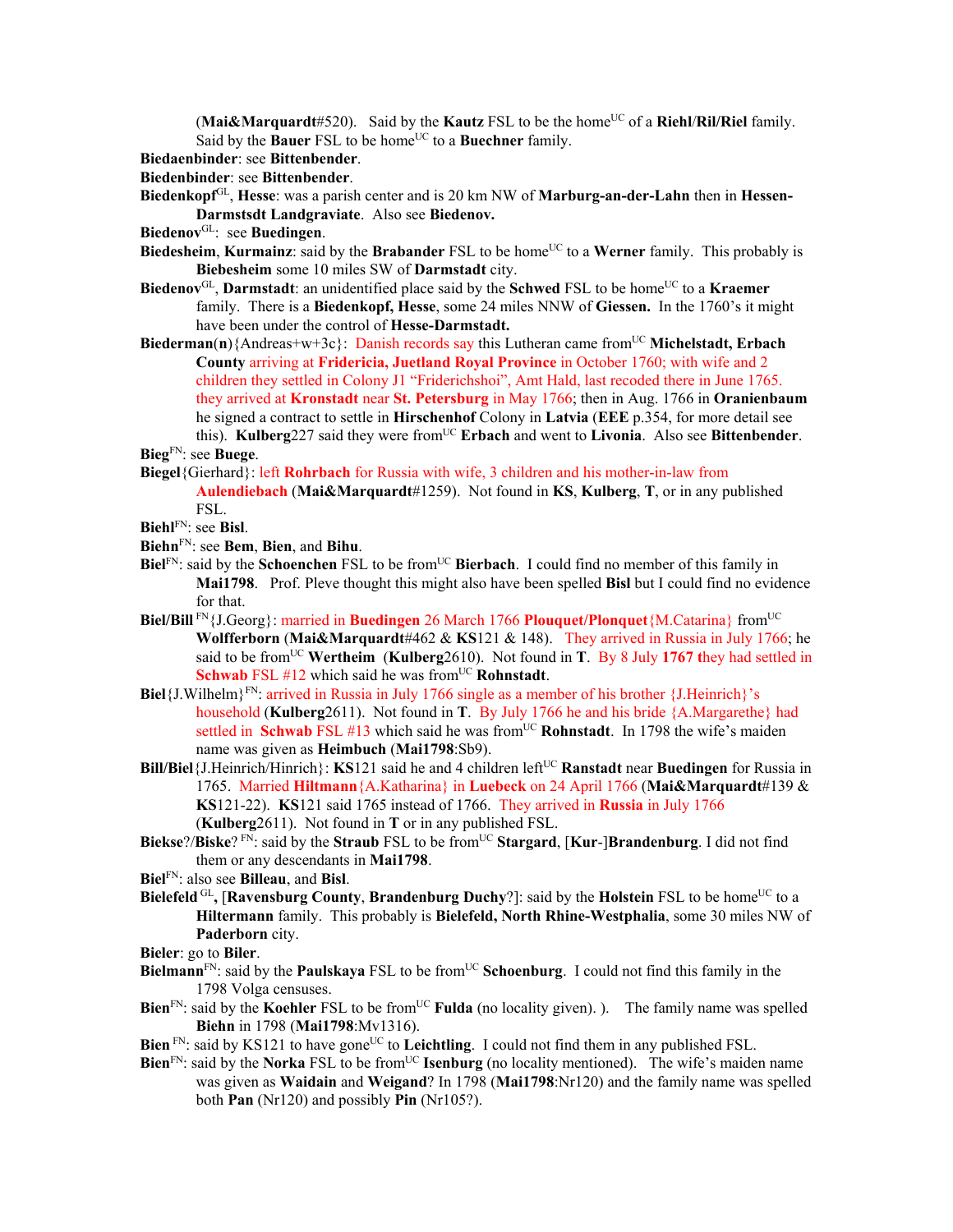(Mai&Marquardt#520). Said by the **Kautz** FSL to be the home<sup>UC</sup> of a **Riehl/Ril/Riel** family. Said by the **Bauer** FSL to be home<sup>UC</sup> to a **Buechner** family.

- **Biedaenbinder**: see **Bittenbender**.
- **Biedenbinder**: see **Bittenbender**.
- **Biedenkopf**GL, **Hesse**: was a parish center and is 20 km NW of **Marburg-an-der-Lahn** then in **Hessen-Darmstsdt Landgraviate**. Also see **Biedenov.**
- **Biedenov**GL: see **Buedingen**.
- **Biedesheim, Kurmainz**: said by the **Brabander** FSL to be home<sup>UC</sup> to a Werner family. This probably is **Biebesheim** some 10 miles SW of **Darmstadt** city.
- Biedenov<sup>GL</sup>, Darmstadt: an unidentified place said by the Schwed FSL to be home<sup>UC</sup> to a **Kraemer** family. There is a **Biedenkopf, Hesse**, some 24 miles NNW of **Giessen.** In the 1760's it might have been under the control of **Hesse-Darmstadt.**
- **Biederman(n)**{Andreas+w+3c}: Danish records say this Lutheran came from<sup>UC</sup> Michelstadt, Erbach **County** arriving at **Fridericia, Juetland Royal Province** in October 1760; with wife and 2 children they settled in Colony J1 "Friderichshoi", Amt Hald, last recoded there in June 1765. they arrived at **Kronstadt** near **St. Petersburg** in May 1766; then in Aug. 1766 in **Oranienbaum** he signed a contract to settle in **Hirschenhof** Colony in **Latvia** (**EEE** p.354, for more detail see this). **Kulberg**227 said they were from<sup>UC</sup> **Erbach** and went to **Livonia**. Also see **Bittenbender**. **Bieg**FN: see **Buege**.
- 
- **Biegel**{Gierhard}: left **Rohrbach** for Russia with wife, 3 children and his mother-in-law from **Aulendiebach** (**Mai&Marquardt**#1259). Not found in **KS**, **Kulberg**, **T**, or in any published FSL.
- **Biehl**FN: see **Bisl**.
- **Biehn**FN: see **Bem**, **Bien**, and **Bihu**.
- **Biel**FN: said by the **Schoenchen** FSL to be from<sup>UC</sup> Bierbach. I could find no member of this family in **Mai1798**. Prof. Pleve thought this might also have been spelled **Bisl** but I could find no evidence for that.
- **Biel/Bill** FN{J.Georg}: married in **Buedingen** 26 March 1766 **Plouquet/Plonquet**{M.Catarina} from<sup>UC</sup> **Wolfferborn** (**Mai&Marquardt**#462 & **KS**121 & 148). They arrived in Russia in July 1766; he said to be from<sup>UC</sup> Wertheim (Kulberg2610). Not found in **T**. By 8 July 1767 they had settled in **Schwab** FSL #12 which said he was from<sup>UC</sup> **Rohnstadt**.
- **Biel**{J.Wilhelm}FN: arrived in Russia in July 1766 single as a member of his brother {J.Heinrich}'s household (**Kulberg**2611). Not found in **T**. By July 1766 he and his bride {A.Margarethe} had settled in **Schwab** FSL #13 which said he was from<sup>UC</sup> **Rohnstadt**. In 1798 the wife's maiden name was given as **Heimbuch** (**Mai1798**:Sb9).
- **Bill/Biel**{J.Heinrich/Hinrich}: **KS**121 said he and 4 children left<sup>UC</sup> Ranstadt near Buedingen for Russia in 1765. Married **Hiltmann**{A.Katharina} in **Luebeck** on 24 April 1766 (**Mai&Marquardt**#139 & **KS**121-22). **KS**121 said 1765 instead of 1766. They arrived in **Russia** in July 1766 (**Kulberg**2611). Not found in **T** or in any published FSL.
- **Biekse**?/**Biske**?<sup>FN</sup>: said by the **Straub** FSL to be from<sup>UC</sup> **Stargard**, [**Kur-**]**Brandenburg**. I did not find them or any descendants in **Mai1798**.
- **Biel**FN: also see **Billeau**, and **Bisl**.
- **Bielefeld** GL, **[Ravensburg County, Brandenburg Duchy**?]: said by the **Holstein** FSL to be home<sup>UC</sup> to a **Hiltermann** family. This probably is **Bielefeld, North Rhine-Westphalia**, some 30 miles NW of **Paderborn** city.
- **Bieler**: go to **Biler**.
- **Bielmann**<sup>FN</sup>: said by the **Paulskaya** FSL to be from<sup>UC</sup> Schoenburg. I could not find this family in the 1798 Volga censuses.
- **Bien**<sup>FN</sup>: said by the **Koehler** FSL to be from<sup>UC</sup> **Fulda** (no locality given). ). The family name was spelled **Biehn** in 1798 (**Mai1798**:Mv1316).
- **Bien** FN: said by KS121 to have gone<sup>UC</sup> to **Leichtling**. I could not find them in any published FSL.
- **Bien**<sup>FN</sup>: said by the **Norka** FSL to be from<sup>UC</sup> **Isenburg** (no locality mentioned). The wife's maiden name was given as **Waidain** and **Weigand**? In 1798 (**Mai1798**:Nr120) and the family name was spelled both **Pan** (Nr120) and possibly **Pin** (Nr105?).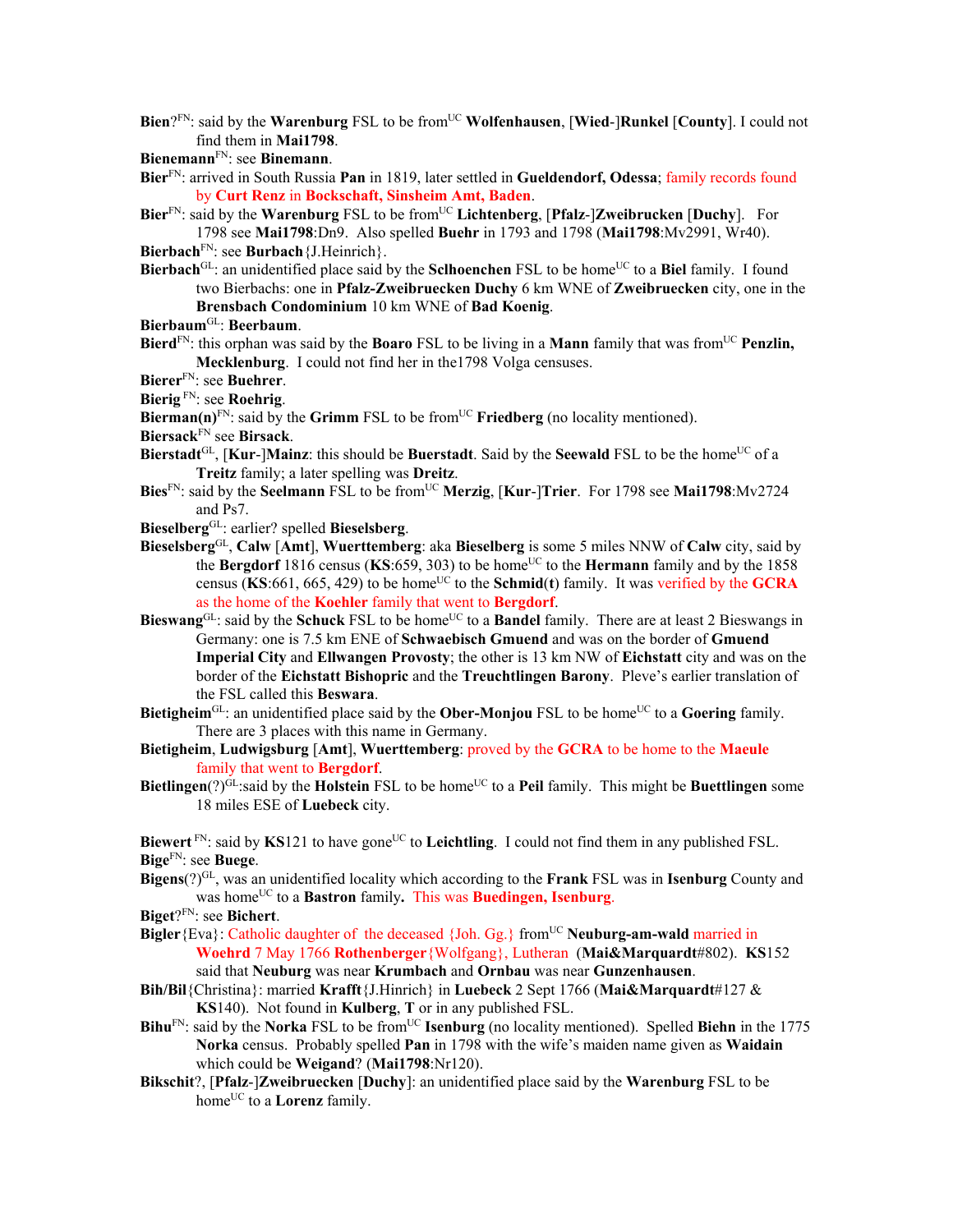- **Bien**?<sup>FN</sup>: said by the **Warenburg** FSL to be from<sup>UC</sup> **Wolfenhausen**, [Wied-]Runkel [County]. I could not find them in **Mai1798**.
- **Bienemann**FN: see **Binemann**.
- **Bier**FN: arrived in South Russia **Pan** in 1819, later settled in **Gueldendorf, Odessa**; family records found by **Curt Renz** in **Bockschaft, Sinsheim Amt, Baden**.
- **Bier**FN: said by the **Warenburg** FSL to be fromUC **Lichtenberg**, [**Pfalz**-]**Zweibrucken** [**Duchy**]. For 1798 see **Mai1798**:Dn9. Also spelled **Buehr** in 1793 and 1798 (**Mai1798**:Mv2991, Wr40).

**Bierbach**FN: see **Burbach**{J.Heinrich}.

- **Bierbach**<sup>GL</sup>: an unidentified place said by the **Sclhoenchen** FSL to be home<sup>UC</sup> to a **Biel** family. I found two Bierbachs: one in **Pfalz-Zweibruecken Duchy** 6 km WNE of **Zweibruecken** city, one in the **Brensbach Condominium** 10 km WNE of **Bad Koenig**.
- **Bierbaum**GL: **Beerbaum**.
- **Bierd**<sup>FN</sup>: this orphan was said by the **Boaro** FSL to be living in a **Mann** family that was from<sup>UC</sup> **Penzlin, Mecklenburg**. I could not find her in the1798 Volga censuses.
- **Bierer**FN: see **Buehrer**.

**Bierig** FN: see **Roehrig**.

**Bierman(n)**FN: said by the **Grimm** FSL to be from<sup>UC</sup> **Friedberg** (no locality mentioned).

**Biersack**FN see **Birsack**.

- **Bierstadt**<sup>GL</sup>, [Kur-]Mainz: this should be Buerstadt. Said by the Seewald FSL to be the home<sup>UC</sup> of a **Treitz** family; a later spelling was **Dreitz**.
- **Bies**FN: said by the **Seelmann** FSL to be fromUC **Merzig**, [**Kur**-]**Trier**. For 1798 see **Mai1798**:Mv2724 and Ps7.
- **Bieselberg**GL: earlier? spelled **Bieselsberg**.
- **Bieselsberg**GL, **Calw** [**Amt**], **Wuerttemberg**: aka **Bieselberg** is some 5 miles NNW of **Calw** city, said by the **Bergdorf** 1816 census (KS:659, 303) to be home<sup>UC</sup> to the **Hermann** family and by the 1858 census ( $\overline{\textbf{KS}}$ :661, 665, 429) to be home<sup>UC</sup> to the **Schmid**(**t**) family. It was verified by the **GCRA** as the home of the **Koehler** family that went to **Bergdorf**.
- **Bieswang**GL: said by the **Schuck** FSL to be home<sup>UC</sup> to a **Bandel** family. There are at least 2 Bieswangs in Germany: one is 7.5 km ENE of **Schwaebisch Gmuend** and was on the border of **Gmuend Imperial City** and **Ellwangen Provosty**; the other is 13 km NW of **Eichstatt** city and was on the border of the **Eichstatt Bishopric** and the **Treuchtlingen Barony**. Pleve's earlier translation of the FSL called this **Beswara**.
- **Bietigheim**<sup>GL</sup>: an unidentified place said by the **Ober-Monjou** FSL to be home<sup>UC</sup> to a **Goering** family. There are 3 places with this name in Germany.
- **Bietigheim**, **Ludwigsburg** [**Amt**], **Wuerttemberg**: proved by the **GCRA** to be home to the **Maeule** family that went to **Bergdorf**.
- **Bietlingen**(?) $G<sup>L</sup>$ :said by the **Holstein** FSL to be home<sup>UC</sup> to a **Peil** family. This might be **Buettlingen** some 18 miles ESE of **Luebeck** city.

**Biewert**<sup>FN</sup>: said by **KS**121 to have gone<sup>UC</sup> to **Leichtling**. I could not find them in any published FSL. **Bige**FN: see **Buege**.

**Bigens**(?)GL, was an unidentified locality which according to the **Frank** FSL was in **Isenburg** County and was homeUC to a **Bastron** family**.** This was **Buedingen, Isenburg**.

**Biget**?FN: see **Bichert**.

- **Bigler**{Eva}: Catholic daughter of the deceased {Joh. Gg.} from<sup>UC</sup> **Neuburg-am-wald** married in **Woehrd** 7 May 1766 **Rothenberger**{Wolfgang}, Lutheran (**Mai&Marquardt**#802). **KS**152 said that **Neuburg** was near **Krumbach** and **Ornbau** was near **Gunzenhausen**.
- **Bih/Bil**{Christina}: married **Krafft**{J.Hinrich} in **Luebeck** 2 Sept 1766 (**Mai&Marquardt**#127 & **KS**140). Not found in **Kulberg**, **T** or in any published FSL.
- **Bihu**FN: said by the **Norka** FSL to be from<sup>UC</sup> **Isenburg** (no locality mentioned). Spelled **Biehn** in the 1775 **Norka** census. Probably spelled **Pan** in 1798 with the wife's maiden name given as **Waidain** which could be **Weigand**? (**Mai1798**:Nr120).
- **Bikschit**?, [**Pfalz**-]**Zweibruecken** [**Duchy**]: an unidentified place said by the **Warenburg** FSL to be home<sup>UC</sup> to a **Lorenz** family.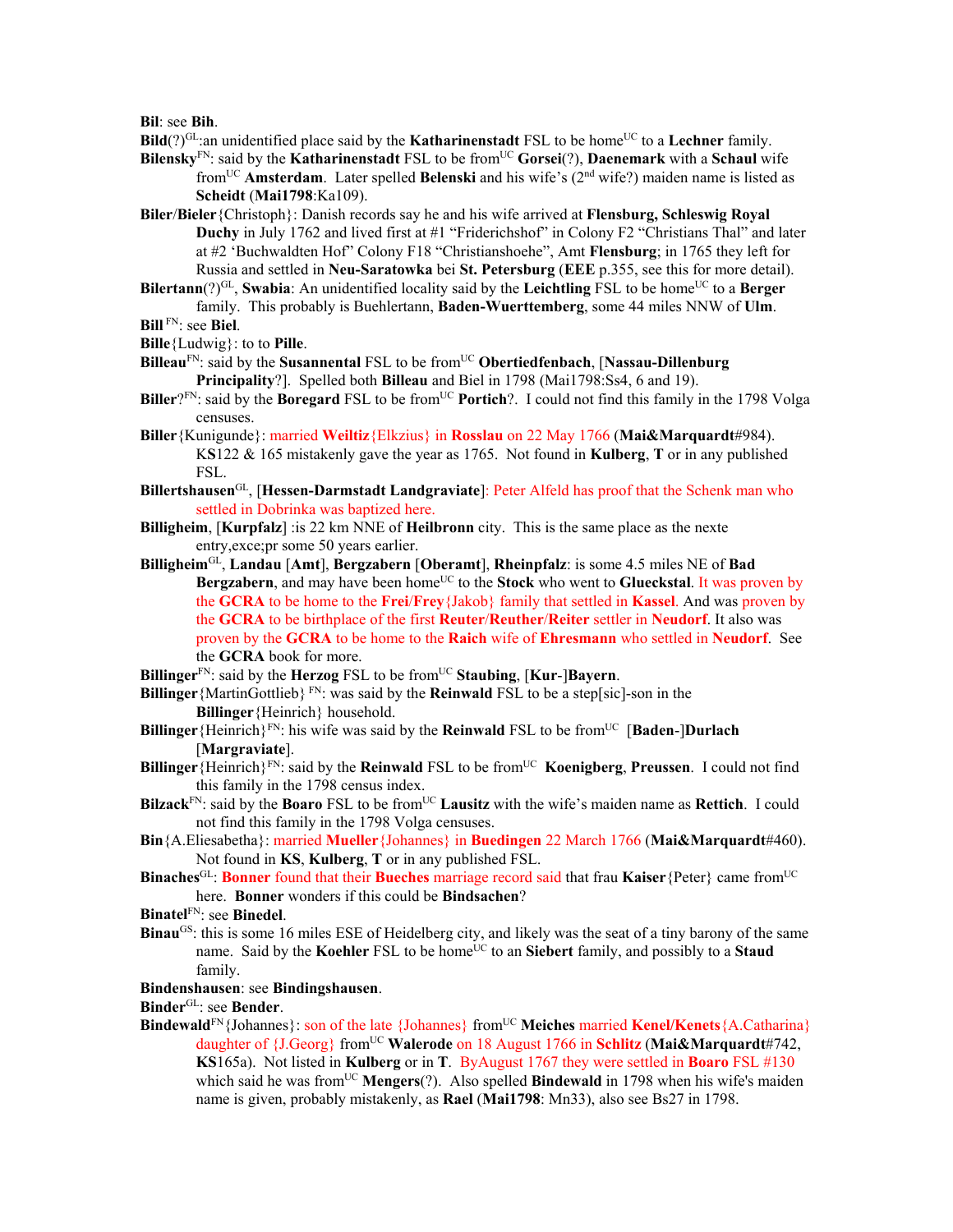**Bil**: see **Bih**.

**Bild**(?)<sup>GL</sup>:an unidentified place said by the **Katharinenstadt** FSL to be home<sup>UC</sup> to a **Lechner** family.

**Bilensky**<sup>FN</sup>: said by the **Katharinenstadt** FSL to be from<sup>UC</sup> **Gorsei**(?), **Daenemark** with a **Schaul** wife fromUC **Amsterdam**. Later spelled **Belenski** and his wife's (2nd wife?) maiden name is listed as **Scheidt** (**Mai1798**:Ka109).

**Biler**/**Bieler**{Christoph}: Danish records say he and his wife arrived at **Flensburg, Schleswig Royal Duchy** in July 1762 and lived first at #1 "Friderichshof" in Colony F2 "Christians Thal" and later at #2 'Buchwaldten Hof" Colony F18 "Christianshoehe", Amt **Flensburg**; in 1765 they left for Russia and settled in **Neu-Saratowka** bei **St. Petersburg** (**EEE** p.355, see this for more detail).

**Bilertann**(?)<sup>GL</sup>, **Swabia**: An unidentified locality said by the **Leichtling** FSL to be home<sup>UC</sup> to a **Berger** family. This probably is Buehlertann, **Baden-Wuerttemberg**, some 44 miles NNW of **Ulm**.

**Bill** FN: see **Biel**.

**Bille**{Ludwig}: to to **Pille**.

- **Billeau**FN: said by the **Susannental** FSL to be fromUC **Obertiedfenbach**, [**Nassau-Dillenburg Principality**?]. Spelled both **Billeau** and Biel in 1798 (Mai1798:Ss4, 6 and 19).
- **Biller**?FN: said by the **Boregard** FSL to be from<sup>UC</sup> **Portich**?. I could not find this family in the 1798 Volga censuses.
- **Biller**{Kunigunde}: married **Weiltiz**{Elkzius} in **Rosslau** on 22 May 1766 (**Mai&Marquardt**#984). K**S**122 & 165 mistakenly gave the year as 1765. Not found in **Kulberg**, **T** or in any published FSL.
- **Billertshausen**GL, [**Hessen-Darmstadt Landgraviate**]: Peter Alfeld has proof that the Schenk man who settled in Dobrinka was baptized here.
- **Billigheim**, [**Kurpfalz**] :is 22 km NNE of **Heilbronn** city. This is the same place as the nexte entry,exce;pr some 50 years earlier.
- **Billigheim**GL, **Landau** [**Amt**], **Bergzabern** [**Oberamt**], **Rheinpfalz**: is some 4.5 miles NE of **Bad Bergzabern**, and may have been home<sup>UC</sup> to the **Stock** who went to **Glueckstal**. It was proven by the **GCRA** to be home to the **Frei**/**Frey**{Jakob} family that settled in **Kassel**. And was proven by the **GCRA** to be birthplace of the first **Reuter**/**Reuther**/**Reiter** settler in **Neudorf**. It also was proven by the **GCRA** to be home to the **Raich** wife of **Ehresmann** who settled in **Neudorf**. See the **GCRA** book for more.
- **Billinger**FN: said by the **Herzog** FSL to be fromUC **Staubing**, [**Kur**-]**Bayern**.
- **Billinger** {MartinGottlieb}  $F_N$ : was said by the **Reinwald** FSL to be a step[sic]-son in the **Billinger**{Heinrich} household.
- **Billinger** {Heinrich}<sup>FN</sup>: his wife was said by the **Reinwald** FSL to be from<sup>UC</sup> [**Baden-**]**Durlach** [**Margraviate**].
- **Billinger**{Heinrich}<sup>FN</sup>: said by the **Reinwald** FSL to be from<sup>UC</sup> **Koenigberg**, **Preussen**. I could not find this family in the 1798 census index.
- **Bilzack**<sup>FN</sup>: said by the **Boaro** FSL to be from<sup>UC</sup> **Lausitz** with the wife's maiden name as **Rettich**. I could not find this family in the 1798 Volga censuses.
- **Bin**{A.Eliesabetha}: married **Mueller**{Johannes} in **Buedingen** 22 March 1766 (**Mai&Marquardt**#460). Not found in **KS**, **Kulberg**, **T** or in any published FSL.
- **Binaches**<sup>GL</sup>: **Bonner** found that their **Bueches** marriage record said that frau **Kaiser**{Peter} came from<sup>UC</sup> here. **Bonner** wonders if this could be **Bindsachen**?
- **Binatel**FN: see **Binedel**.
- **Binau**<sup>GS</sup>: this is some 16 miles ESE of Heidelberg city, and likely was the seat of a tiny barony of the same name. Said by the **Koehler** FSL to be home<sup>UC</sup> to an **Siebert** family, and possibly to a **Staud** family.

#### **Bindenshausen**: see **Bindingshausen**.

**Binder**GL: see **Bender**.

**Bindewald**<sup>FN</sup>{Johannes}: son of the late {Johannes} from<sup>UC</sup> Meiches married **Kenel/Kenets**{A.Catharina} daughter of {J.Georg} fromUC **Walerode** on 18 August 1766 in **Schlitz** (**Mai&Marquardt**#742, **KS**165a). Not listed in **Kulberg** or in **T**. ByAugust 1767 they were settled in **Boaro** FSL #130 which said he was from<sup>UC</sup> **Mengers**(?). Also spelled **Bindewald** in 1798 when his wife's maiden name is given, probably mistakenly, as **Rael** (**Mai1798**: Mn33), also see Bs27 in 1798.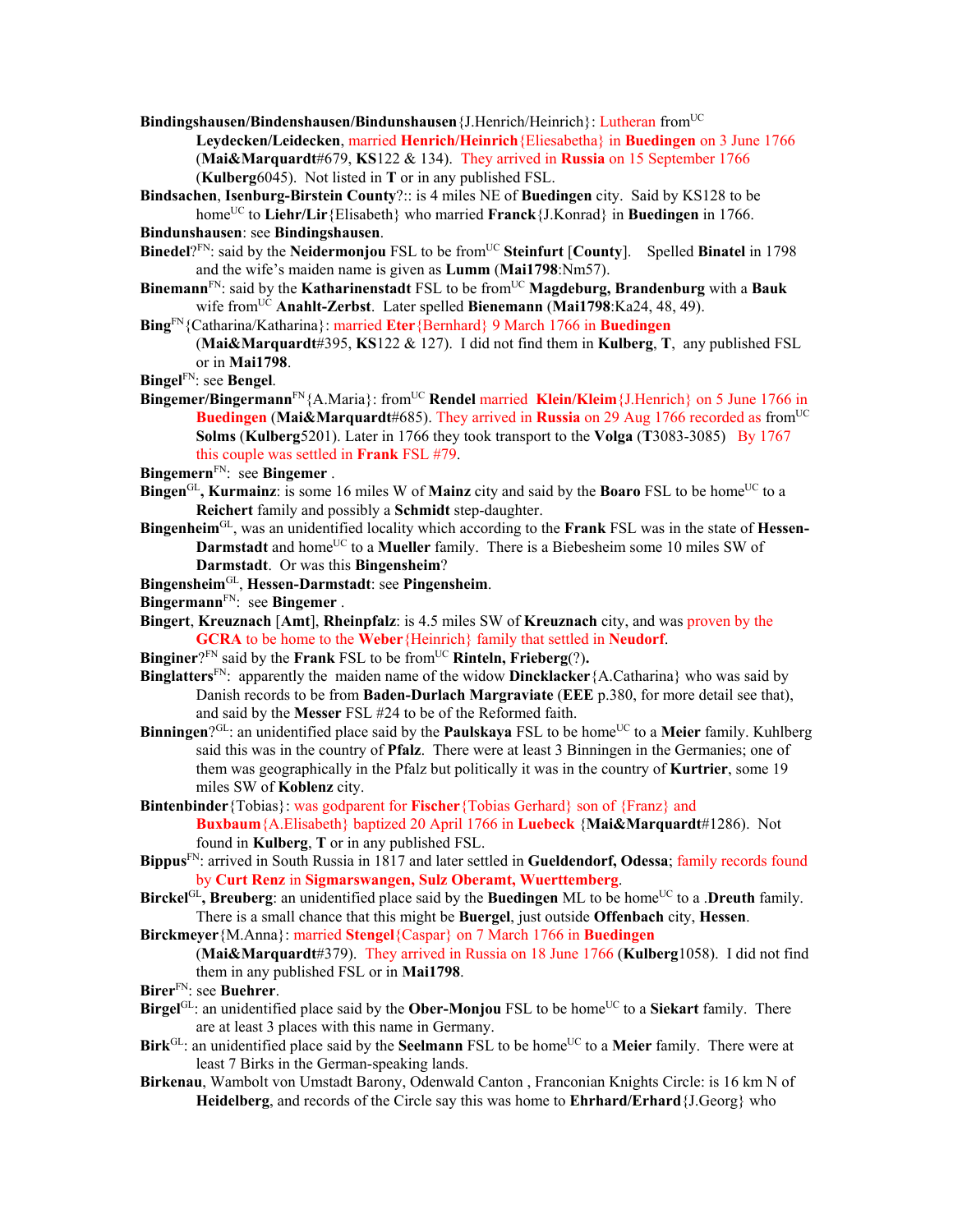**Bindingshausen/Bindenshausen/Bindunshausen**{J.Henrich/Heinrich}: Lutheran fromUC

**Leydecken/Leidecken**, married **Henrich/Heinrich**{Eliesabetha} in **Buedingen** on 3 June 1766 (**Mai&Marquardt**#679, **KS**122 & 134). They arrived in **Russia** on 15 September 1766 (**Kulberg**6045). Not listed in **T** or in any published FSL.

**Bindsachen**, **Isenburg-Birstein County**?:: is 4 miles NE of **Buedingen** city. Said by KS128 to be home<sup>UC</sup> to **Liehr/Lir**{Elisabeth} who married **Franck**{J.Konrad} in **Buedingen** in 1766.

**Bindunshausen**: see **Bindingshausen**.

- **Binedel**?FN: said by the **Neidermonjou** FSL to be from<sup>UC</sup> Steinfurt [County]. Spelled Binatel in 1798 and the wife's maiden name is given as **Lumm** (**Mai1798**:Nm57).
- **Binemann**<sup>FN</sup>: said by the **Katharinenstadt** FSL to be from<sup>UC</sup> **Magdeburg, Brandenburg** with a **Bauk** wife fromUC **Anahlt-Zerbst**. Later spelled **Bienemann** (**Mai1798**:Ka24, 48, 49).
- **Bing**FN{Catharina/Katharina}: married **Eter**{Bernhard} 9 March 1766 in **Buedingen**

(**Mai&Marquardt**#395, **KS**122 & 127). I did not find them in **Kulberg**, **T**, any published FSL or in **Mai1798**.

- **Bingel**FN: see **Bengel**.
- **Bingemer/Bingermann**FN{A.Maria}: fromUC **Rendel** married **Klein/Kleim**{J.Henrich} on 5 June 1766 in **Buedingen** (Mai&Marquardt#685). They arrived in Russia on 29 Aug 1766 recorded as from<sup>UC</sup> **Solms** (**Kulberg**5201). Later in 1766 they took transport to the **Volga** (**T**3083-3085) By 1767 this couple was settled in **Frank** FSL #79.
- **Bingemern**FN: see **Bingemer** .
- **Bingen**<sup>GL</sup>, **Kurmainz**: is some 16 miles W of **Mainz** city and said by the **Boaro** FSL to be home<sup>UC</sup> to a **Reichert** family and possibly a **Schmidt** step-daughter.
- **Bingenheim**GL, was an unidentified locality which according to the **Frank** FSL was in the state of **Hessen-Darmstadt** and home<sup>UC</sup> to a **Mueller** family. There is a Biebesheim some 10 miles SW of **Darmstadt**. Or was this **Bingensheim**?
- **Bingensheim**GL, **Hessen-Darmstadt**: see **Pingensheim**.
- **Bingermann**FN: see **Bingemer** .
- **Bingert**, **Kreuznach** [**Amt**], **Rheinpfalz**: is 4.5 miles SW of **Kreuznach** city, and was proven by the **GCRA** to be home to the **Weber**{Heinrich} family that settled in **Neudorf**.
- **Binginer**?FN said by the **Frank** FSL to be fromUC **Rinteln, Frieberg**(?)**.**
- **Binglatters**FN: apparently the maiden name of the widow **Dincklacker**{A.Catharina} who was said by Danish records to be from **Baden-Durlach Margraviate** (**EEE** p.380, for more detail see that), and said by the **Messer** FSL #24 to be of the Reformed faith.
- **Binningen**?<sup>GL</sup>: an unidentified place said by the **Paulskaya** FSL to be home<sup>UC</sup> to a **Meier** family. Kuhlberg said this was in the country of **Pfalz**. There were at least 3 Binningen in the Germanies; one of them was geographically in the Pfalz but politically it was in the country of **Kurtrier**, some 19 miles SW of **Koblenz** city.
- **Bintenbinder**{Tobias}: was godparent for **Fischer**{Tobias Gerhard} son of {Franz} and **Buxbaum**{A.Elisabeth} baptized 20 April 1766 in **Luebeck** {**Mai&Marquardt**#1286). Not found in **Kulberg**, **T** or in any published FSL.
- **Bippus**FN: arrived in South Russia in 1817 and later settled in **Gueldendorf, Odessa**; family records found by **Curt Renz** in **Sigmarswangen, Sulz Oberamt, Wuerttemberg**.
- **Birckel**<sup>GL</sup>, Breuberg: an unidentified place said by the Buedingen ML to be home<sup>UC</sup> to a .Dreuth family. There is a small chance that this might be **Buergel**, just outside **Offenbach** city, **Hessen**.
- **Birckmeyer**{M.Anna}: married **Stengel**{Caspar} on 7 March 1766 in **Buedingen**

(**Mai&Marquardt**#379). They arrived in Russia on 18 June 1766 (**Kulberg**1058). I did not find them in any published FSL or in **Mai1798**.

- **Birer**FN: see **Buehrer**.
- **Birgel**<sup>GL</sup>: an unidentified place said by the **Ober-Monjou** FSL to be home<sup>UC</sup> to a **Siekart** family. There are at least 3 places with this name in Germany.
- **Birk**<sup>GL</sup>: an unidentified place said by the **Seelmann** FSL to be home<sup>UC</sup> to a **Meier** family. There were at least 7 Birks in the German-speaking lands.
- **Birkenau**, Wambolt von Umstadt Barony, Odenwald Canton , Franconian Knights Circle: is 16 km N of **Heidelberg**, and records of the Circle say this was home to **Ehrhard/Erhard**{J.Georg} who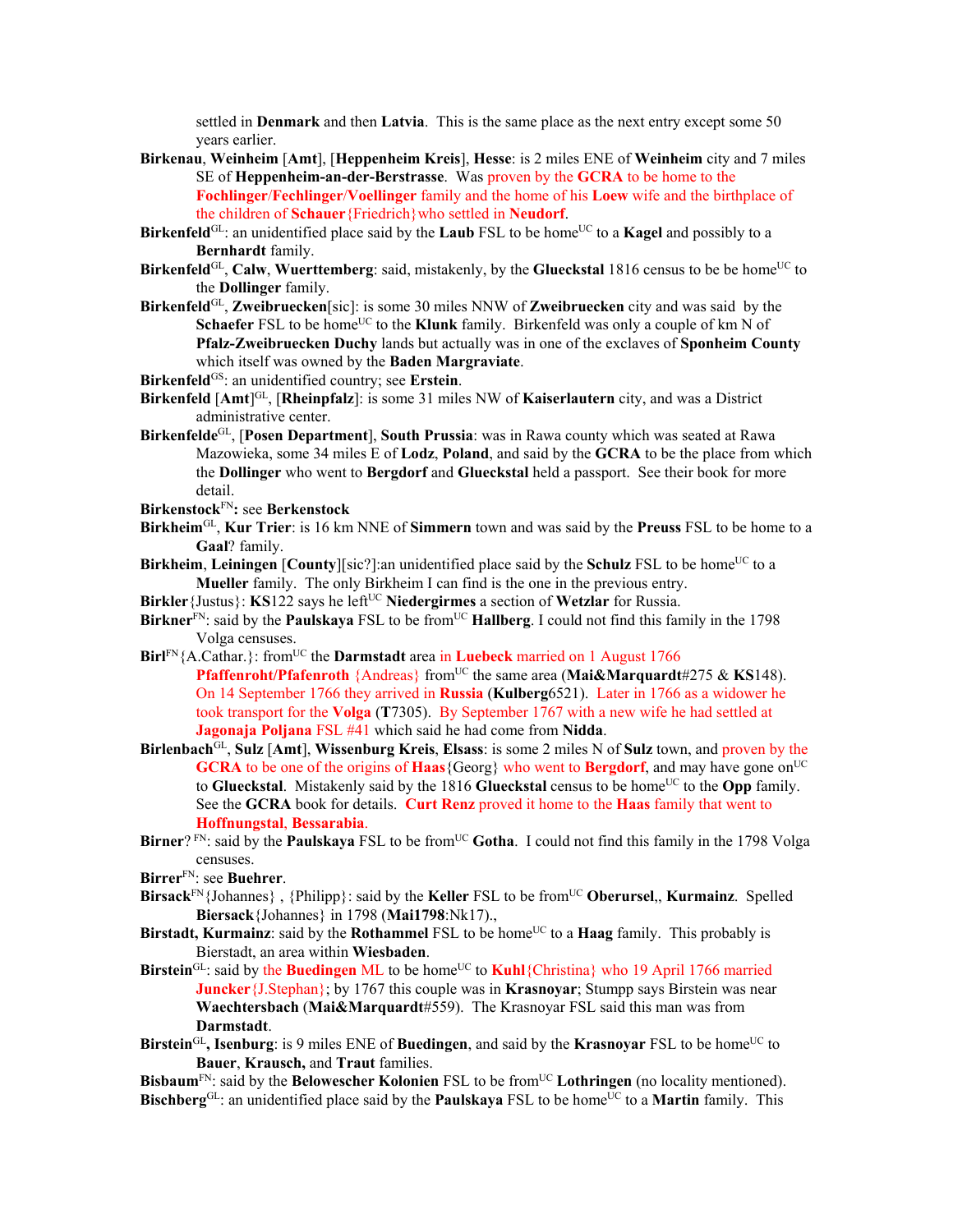settled in **Denmark** and then **Latvia**. This is the same place as the next entry except some 50 years earlier.

- **Birkenau**, **Weinheim** [**Amt**], [**Heppenheim Kreis**], **Hesse**: is 2 miles ENE of **Weinheim** city and 7 miles SE of **Heppenheim-an-der-Berstrasse**. Was proven by the **GCRA** to be home to the **Fochlinger**/**Fechlinger**/**Voellinger** family and the home of his **Loew** wife and the birthplace of the children of **Schauer**{Friedrich}who settled in **Neudorf**.
- **Birkenfeld**<sup>GL</sup>: an unidentified place said by the **Laub** FSL to be home<sup>UC</sup> to a **Kagel** and possibly to a **Bernhardt** family.
- **Birkenfeld**<sup>GL</sup>, **Calw**, **Wuerttemberg**: said, mistakenly, by the **Glueckstal** 1816 census to be be home<sup>UC</sup> to the **Dollinger** family.
- **Birkenfeld**GL, **Zweibruecken**[sic]: is some 30 miles NNW of **Zweibruecken** city and was said by the **Schaefer** FSL to be home<sup>UC</sup> to the **Klunk** family. Birkenfeld was only a couple of km N of **Pfalz-Zweibruecken Duchy** lands but actually was in one of the exclaves of **Sponheim County**  which itself was owned by the **Baden Margraviate**.
- Birkenfeld<sup>GS</sup>: an unidentified country; see Erstein.
- **Birkenfeld** [**Amt**] GL, [**Rheinpfalz**]: is some 31 miles NW of **Kaiserlautern** city, and was a District administrative center.
- **Birkenfelde**GL, [**Posen Department**], **South Prussia**: was in Rawa county which was seated at Rawa Mazowieka, some 34 miles E of **Lodz**, **Poland**, and said by the **GCRA** to be the place from which the **Dollinger** who went to **Bergdorf** and **Glueckstal** held a passport. See their book for more detail.
- **Birkenstock**FN**:** see **Berkenstock**
- **Birkheim**GL, **Kur Trier**: is 16 km NNE of **Simmern** town and was said by the **Preuss** FSL to be home to a **Gaal**? family.
- **Birkheim**, Leiningen [County][sic?]:an unidentified place said by the Schulz FSL to be home<sup>UC</sup> to a **Mueller** family. The only Birkheim I can find is the one in the previous entry.
- **Birkler**{Justus}: **KS**122 says he left<sup>UC</sup> **Niedergirmes** a section of **Wetzlar** for Russia.
- **Birkner**<sup>FN</sup>: said by the **Paulskaya** FSL to be from<sup>UC</sup> **Hallberg**. I could not find this family in the 1798 Volga censuses.
- **Birl**FN{A.Cathar.}: from<sup>UC</sup> the **Darmstadt** area in **Luebeck** married on 1 August 1766 **Pfaffenroht/Pfafenroth** {Andreas} from<sup>UC</sup> the same area (Mai&Marquardt#275 & KS148). On 14 September 1766 they arrived in **Russia** (**Kulberg**6521). Later in 1766 as a widower he took transport for the **Volga** (**T**7305). By September 1767 with a new wife he had settled at **Jagonaja Poljana** FSL #41 which said he had come from **Nidda**.
- **Birlenbach**GL, **Sulz** [**Amt**], **Wissenburg Kreis**, **Elsass**: is some 2 miles N of **Sulz** town, and proven by the **GCRA** to be one of the origins of **Haas**{Georg} who went to **Bergdorf**, and may have gone on<sup>UC</sup> to **Glueckstal**. Mistakenly said by the 1816 **Glueckstal** census to be home<sup>UC</sup> to the **Opp** family. See the **GCRA** book for details. **Curt Renz** proved it home to the **Haas** family that went to **Hoffnungstal**, **Bessarabia**.
- **Birner**? FN: said by the **Paulskaya** FSL to be from<sup>UC</sup> Gotha. I could not find this family in the 1798 Volga censuses.
- **Birrer**FN: see **Buehrer**.
- **Birsack**<sup>FN</sup>{Johannes}, {Philipp}: said by the **Keller** FSL to be from<sup>UC</sup> **Oberursel**,, **Kurmainz**. Spelled **Biersack**{Johannes} in 1798 (**Mai1798**:Nk17).,
- **Birstadt, Kurmainz**: said by the **Rothammel** FSL to be home<sup>UC</sup> to a **Haag** family. This probably is Bierstadt, an area within **Wiesbaden**.
- Birstein<sup>GL</sup>: said by the Buedingen ML to be home<sup>UC</sup> to **Kuhl**{Christina} who 19 April 1766 married **Juncker** {J.Stephan}; by 1767 this couple was in **Krasnovar**; Stumpp says Birstein was near **Waechtersbach** (**Mai&Marquardt**#559). The Krasnoyar FSL said this man was from **Darmstadt**.
- **Birstein**<sup>GL</sup>, **Isenburg**: is 9 miles ENE of **Buedingen**, and said by the **Krasnoyar** FSL to be home<sup>UC</sup> to **Bauer**, **Krausch,** and **Traut** families.

**Bisbaum**<sup>FN</sup>: said by the **Belowescher Kolonien** FSL to be from<sup>UC</sup> **Lothringen** (no locality mentioned). **Bischberg**<sup>GL</sup>: an unidentified place said by the **Paulskaya** FSL to be home<sup>UC</sup> to a **Martin** family. This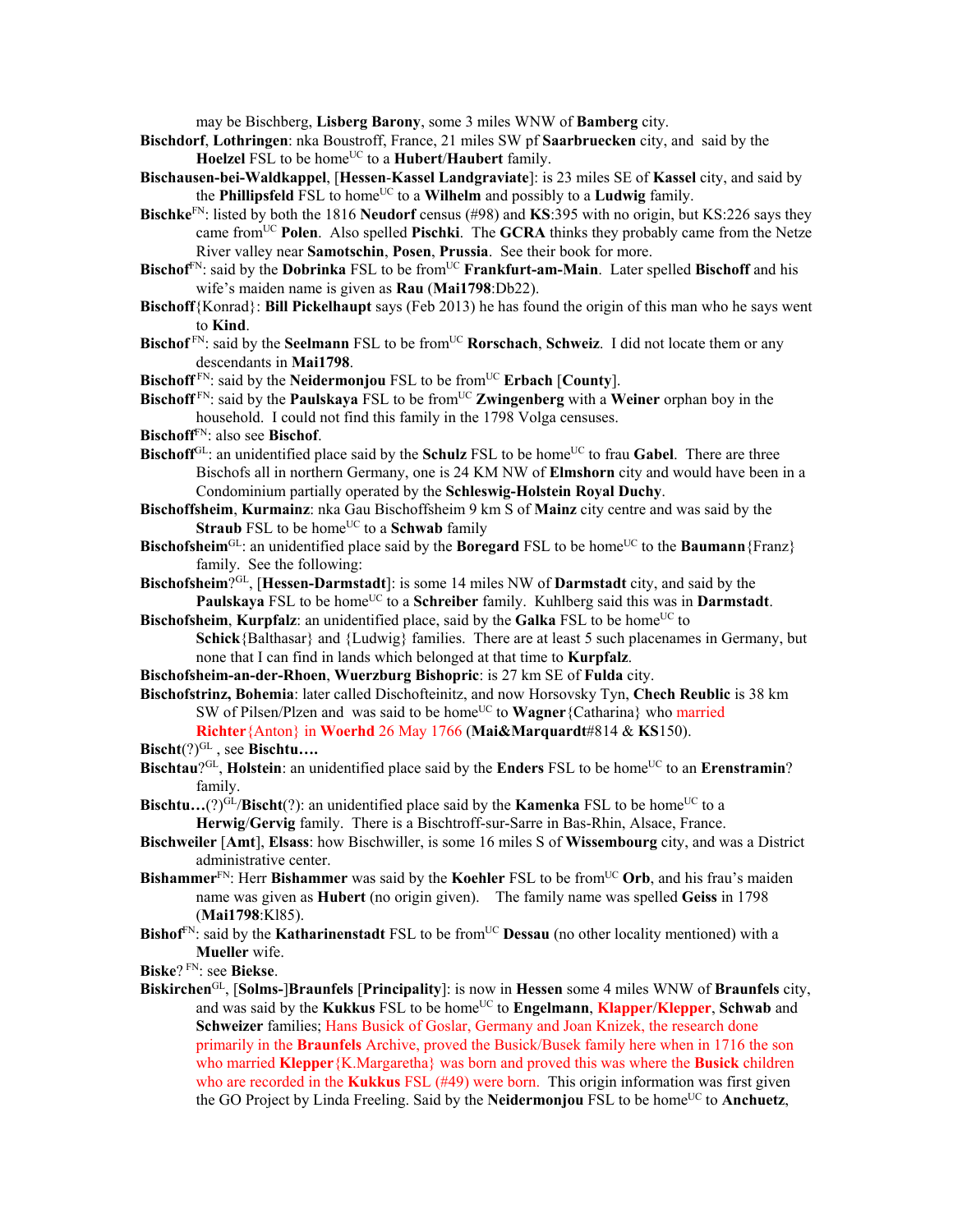may be Bischberg, **Lisberg Barony**, some 3 miles WNW of **Bamberg** city.

- **Bischdorf**, **Lothringen**: nka Boustroff, France, 21 miles SW pf **Saarbruecken** city, and said by the **Hoelzel** FSL to be home<sup>UC</sup> to a **Hubert/Haubert** family.
- **Bischausen-bei-Waldkappel**, [**Hessen**-**Kassel Landgraviate**]: is 23 miles SE of **Kassel** city, and said by the **Phillipsfeld** FSL to home<sup>UC</sup> to a **Wilhelm** and possibly to a **Ludwig** family.
- **Bischke**FN: listed by both the 1816 **Neudorf** census (#98) and **KS**:395 with no origin, but KS:226 says they came from<sup>UC</sup> **Polen**. Also spelled **Pischki**. The **GCRA** thinks they probably came from the Netze River valley near **Samotschin**, **Posen**, **Prussia**. See their book for more.
- **Bischof**FN: said by the **Dobrinka** FSL to be fromUC **Frankfurt-am-Main**. Later spelled **Bischoff** and his wife's maiden name is given as **Rau** (**Mai1798**:Db22).
- **Bischoff**{Konrad}: **Bill Pickelhaupt** says (Feb 2013) he has found the origin of this man who he says went to **Kind**.
- **Bischof**<sup>FN</sup>: said by the **Seelmann** FSL to be from<sup>UC</sup> **Rorschach**, **Schweiz**. I did not locate them or any descendants in **Mai1798**.
- **Bischoff**<sup>FN</sup>: said by the **Neidermonjou** FSL to be from<sup>UC</sup> **Erbach** [County].
- **Bischoff**<sup>FN</sup>: said by the **Paulskaya** FSL to be from<sup>UC</sup> **Zwingenberg** with a **Weiner** orphan boy in the household. I could not find this family in the 1798 Volga censuses.
- **Bischoff**FN: also see **Bischof**.
- **Bischoff**<sup>GL</sup>: an unidentified place said by the **Schulz** FSL to be home<sup>UC</sup> to frau Gabel. There are three Bischofs all in northern Germany, one is 24 KM NW of **Elmshorn** city and would have been in a Condominium partially operated by the **Schleswig-Holstein Royal Duchy**.
- **Bischoffsheim**, **Kurmainz**: nka Gau Bischoffsheim 9 km S of **Mainz** city centre and was said by the **Straub** FSL to be home<sup>UC</sup> to a **Schwab** family
- **Bischofsheim**<sup>GL</sup>: an unidentified place said by the **Boregard** FSL to be home<sup>UC</sup> to the **Baumann** {Franz} family. See the following:
- **Bischofsheim**?GL, [**Hessen-Darmstadt**]: is some 14 miles NW of **Darmstadt** city, and said by the Paulskaya FSL to be home<sup>UC</sup> to a **Schreiber** family. Kuhlberg said this was in **Darmstadt**.
- **Bischofsheim, Kurpfalz**: an unidentified place, said by the **Galka** FSL to be home<sup>UC</sup> to **Schick**{Balthasar} and {Ludwig} families. There are at least 5 such placenames in Germany, but none that I can find in lands which belonged at that time to **Kurpfalz**.
- **Bischofsheim-an-der-Rhoen**, **Wuerzburg Bishopric**: is 27 km SE of **Fulda** city.
- **Bischofstrinz, Bohemia**: later called Dischofteinitz, and now Horsovsky Tyn, **Chech Reublic** is 38 km SW of Pilsen/Plzen and was said to be home<sup>UC</sup> to **Wagner**{Catharina} who married **Richter**{Anton} in **Woerhd** 26 May 1766 (**Mai&Marquardt**#814 & **KS**150).
- Bischt(?)<sup>GL</sup>, see Bischtu....
- **Bischtau**?<sup>GL</sup>, **Holstein**: an unidentified place said by the **Enders** FSL to be home<sup>UC</sup> to an **Erenstramin**? family.
- **Bischtu...**(?)<sup>GL</sup>/**Bischt**(?): an unidentified place said by the **Kamenka** FSL to be home<sup>UC</sup> to a **Herwig**/**Gervig** family. There is a Bischtroff-sur-Sarre in Bas-Rhin, Alsace, France.
- **Bischweiler** [**Amt**], **Elsass**: how Bischwiller, is some 16 miles S of **Wissembourg** city, and was a District administrative center.
- **Bishammer**FN: Herr **Bishammer** was said by the **Koehler** FSL to be fromUC **Orb**, and his frau's maiden name was given as **Hubert** (no origin given). The family name was spelled **Geiss** in 1798 (**Mai1798**:Kl85).
- **Bishof**<sup>FN</sup>: said by the **Katharinenstadt** FSL to be from<sup>UC</sup> **Dessau** (no other locality mentioned) with a **Mueller** wife.
- **Biske**? FN: see **Biekse**.
- **Biskirchen**GL, [**Solms-**]**Braunfels** [**Principality**]: is now in **Hessen** some 4 miles WNW of **Braunfels** city, and was said by the Kukkus FSL to be home<sup>UC</sup> to **Engelmann**, Klapper/Klepper, Schwab and **Schweizer** families; Hans Busick of Goslar, Germany and Joan Knizek, the research done primarily in the **Braunfels** Archive, proved the Busick/Busek family here when in 1716 the son who married **Klepper**{K.Margaretha} was born and proved this was where the **Busick** children who are recorded in the **Kukkus** FSL (#49) were born. This origin information was first given the GO Project by Linda Freeling. Said by the **Neidermonjou** FSL to be home<sup>UC</sup> to **Anchuetz**,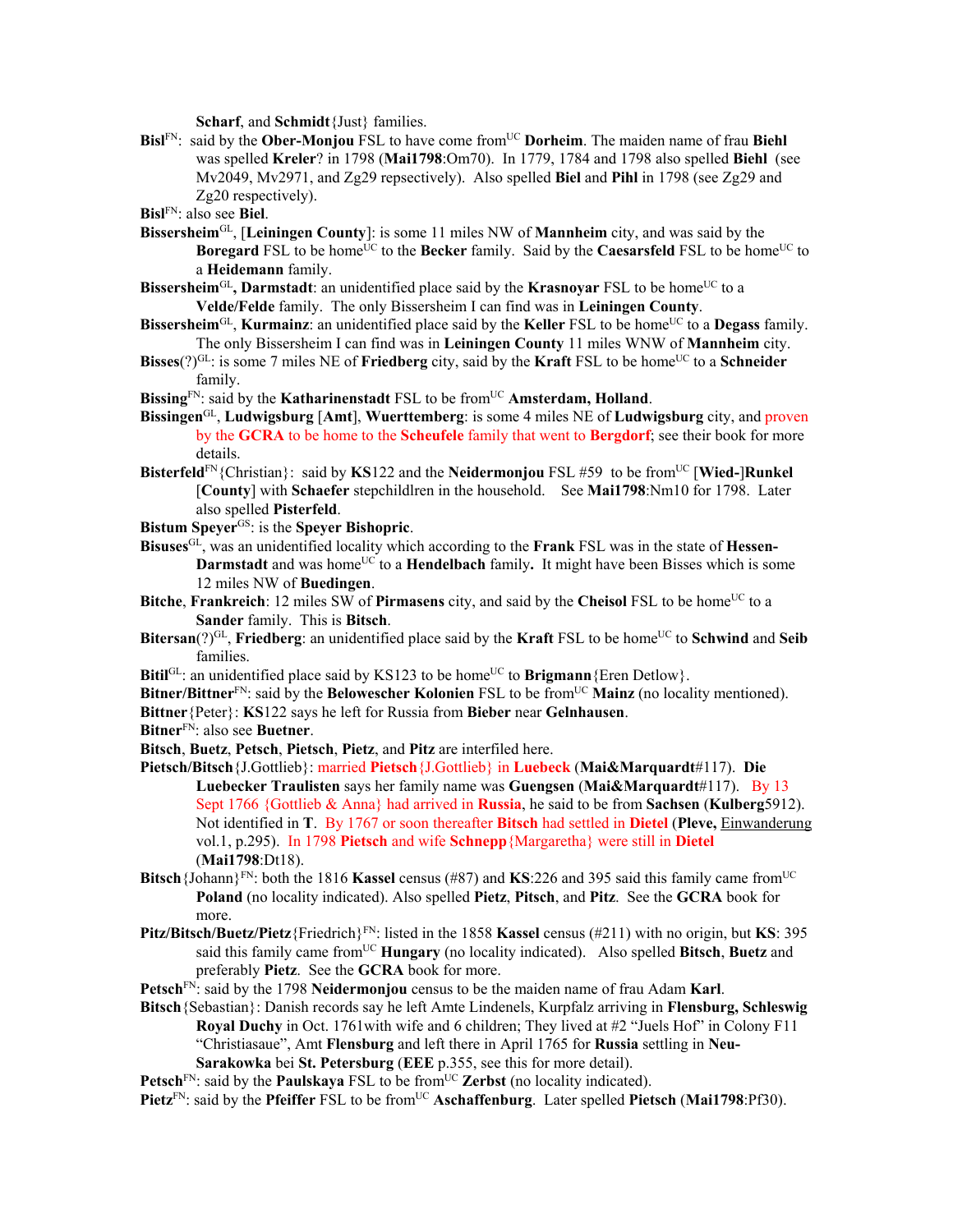**Scharf**, and **Schmidt**{Just} families.

**Bisl**FN: said by the **Ober-Monjou** FSL to have come fromUC **Dorheim**. The maiden name of frau **Biehl** was spelled **Kreler**? in 1798 (**Mai1798**:Om70). In 1779, 1784 and 1798 also spelled **Biehl** (see Mv2049, Mv2971, and Zg29 repsectively). Also spelled **Biel** and **Pihl** in 1798 (see Zg29 and Zg20 respectively).

**Bisl**FN: also see **Biel**.

- **Bissersheim**GL, [**Leiningen County**]: is some 11 miles NW of **Mannheim** city, and was said by the **Boregard** FSL to be home<sup>UC</sup> to the **Becker** family. Said by the **Caesarsfeld** FSL to be home<sup>UC</sup> to a **Heidemann** family.
- **Bissersheim**<sup>GL</sup>, Darmstadt: an unidentified place said by the **Krasnovar** FSL to be home<sup>UC</sup> to a **Velde/Felde** family. The only Bissersheim I can find was in **Leiningen County**.
- **Bissersheim**<sup>GL</sup>, **Kurmainz**: an unidentified place said by the **Keller** FSL to be home<sup>UC</sup> to a **Degass** family. The only Bissersheim I can find was in **Leiningen County** 11 miles WNW of **Mannheim** city.
- **Bisses** $(2)^{GL}$ : is some 7 miles NE of **Friedberg** city, said by the **Kraft** FSL to be home<sup>UC</sup> to a **Schneider** family.
- Bissing<sup>FN</sup>: said by the **Katharinenstadt** FSL to be from<sup>UC</sup> **Amsterdam, Holland**.
- **Bissingen**GL, **Ludwigsburg** [**Amt**], **Wuerttemberg**: is some 4 miles NE of **Ludwigsburg** city, and proven by the **GCRA** to be home to the **Scheufele** family that went to **Bergdorf**; see their book for more details.
- **Bisterfeld**<sup>FN</sup>{Christian}: said by **KS**122 and the **Neidermonjou** FSL #59 to be from<sup>UC</sup> [Wied-]Runkel [**County**] with **Schaefer** stepchildlren in the household. See **Mai1798**:Nm10 for 1798. Later also spelled **Pisterfeld**.
- **Bistum Speyer**GS: is the **Speyer Bishopric**.
- **Bisuses**GL, was an unidentified locality which according to the **Frank** FSL was in the state of **Hessen-Darmstadt** and was home<sup>UC</sup> to a **Hendelbach** family. It might have been Bisses which is some 12 miles NW of **Buedingen**.
- **Bitche**, **Frankreich**: 12 miles SW of **Pirmasens** city, and said by the **Cheisol** FSL to be home<sup>UC</sup> to a **Sander** family. This is **Bitsch**.
- **Bitersan**(?)<sup>GL</sup>, **Friedberg**: an unidentified place said by the **Kraft** FSL to be home<sup>UC</sup> to **Schwind** and **Seib** families.
- **Bitil**<sup>GL</sup>: an unidentified place said by KS123 to be home<sup>UC</sup> to **Brigmann**{Eren Detlow}.
- **Bitner/Bittner**<sup>FN</sup>: said by the **Belowescher Kolonien** FSL to be from<sup>UC</sup> Mainz (no locality mentioned).
- **Bittner**{Peter}: **KS**122 says he left for Russia from **Bieber** near **Gelnhausen**.
- **Bitner**FN: also see **Buetner**.
- **Bitsch**, **Buetz**, **Petsch**, **Pietsch**, **Pietz**, and **Pitz** are interfiled here.
- **Pietsch/Bitsch**{J.Gottlieb}: married **Pietsch**{J.Gottlieb} in **Luebeck** (**Mai&Marquardt**#117). **Die Luebecker Traulisten** says her family name was **Guengsen** (**Mai&Marquardt**#117). By 13 Sept 1766 {Gottlieb & Anna} had arrived in **Russia**, he said to be from **Sachsen** (**Kulberg**5912). Not identified in **T**. By 1767 or soon thereafter **Bitsch** had settled in **Dietel** (**Pleve,** Einwanderung vol.1, p.295). In 1798 **Pietsch** and wife **Schnepp**{Margaretha} were still in **Dietel** (**Mai1798**:Dt18).
- **Bitsch**{Johann}<sup>FN</sup>: both the 1816 **Kassel** census (#87) and **KS**:226 and 395 said this family came from<sup>UC</sup> **Poland** (no locality indicated). Also spelled **Pietz**, **Pitsch**, and **Pitz**. See the **GCRA** book for more.
- **Pitz/Bitsch/Buetz/Pietz**{Friedrich}FN: listed in the 1858 **Kassel** census (#211) with no origin, but **KS**: 395 said this family came fromUC **Hungary** (no locality indicated). Also spelled **Bitsch**, **Buetz** and preferably **Pietz**. See the **GCRA** book for more.
- **Petsch**FN: said by the 1798 **Neidermonjou** census to be the maiden name of frau Adam **Karl**.
- **Bitsch**{Sebastian}: Danish records say he left Amte Lindenels, Kurpfalz arriving in **Flensburg, Schleswig Royal Duchy** in Oct. 1761with wife and 6 children; They lived at #2 "Juels Hof" in Colony F11 "Christiasaue", Amt **Flensburg** and left there in April 1765 for **Russia** settling in **Neu-Sarakowka** bei **St. Petersburg** (**EEE** p.355, see this for more detail).

**Petsch**<sup>FN</sup>: said by the **Paulskaya** FSL to be from<sup>UC</sup> **Zerbst** (no locality indicated).

**Pietz**<sup>FN</sup>: said by the **Pfeiffer** FSL to be from<sup>UC</sup> **Aschaffenburg**. Later spelled **Pietsch** (Mai1798:Pf30).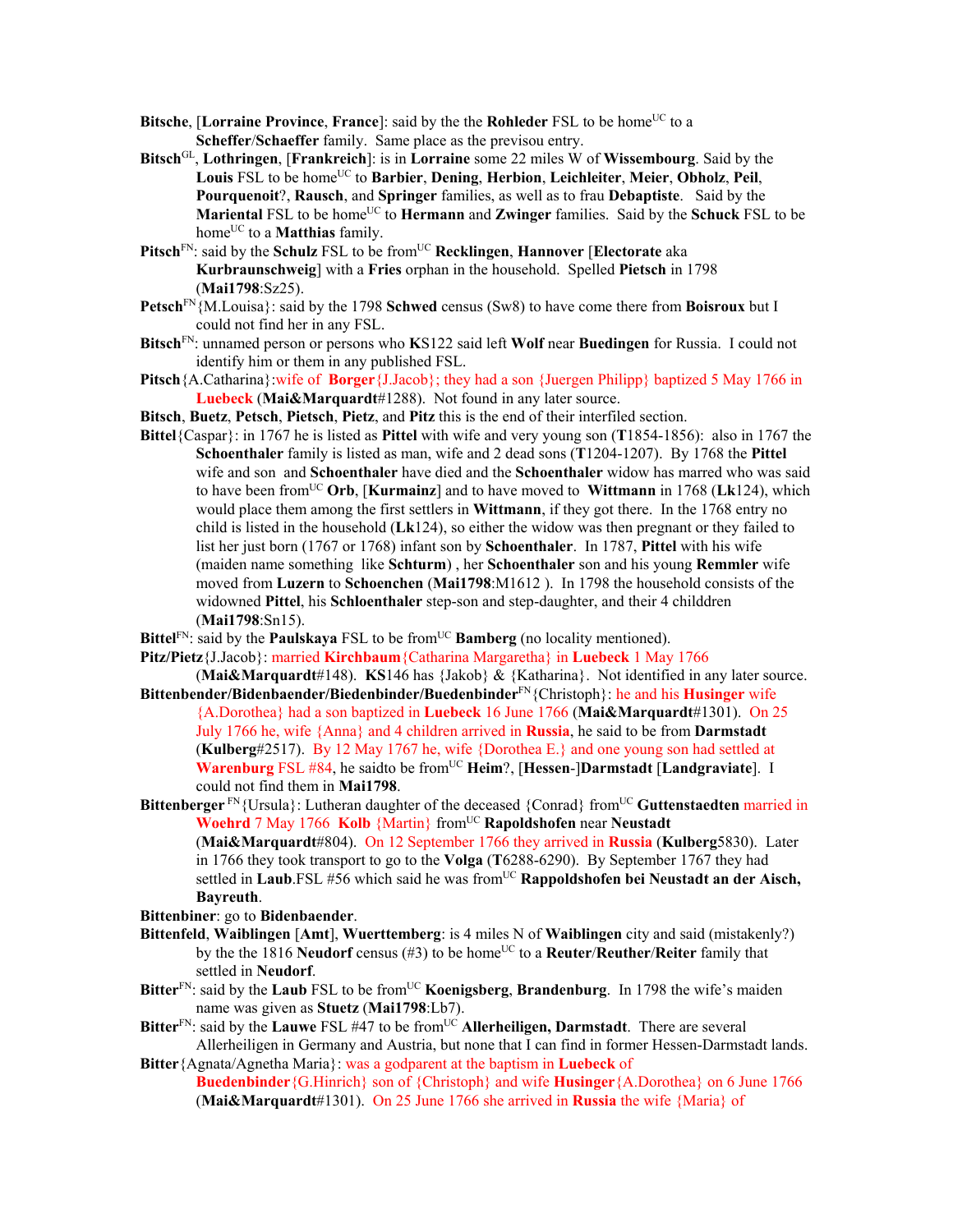- **Bitsche**, [Lorraine Province, France]: said by the the **Rohleder** FSL to be home<sup>UC</sup> to a **Scheffer**/**Schaeffer** family. Same place as the previsou entry.
- **Bitsch**GL, **Lothringen**, [**Frankreich**]: is in **Lorraine** some 22 miles W of **Wissembourg**. Said by the **Louis** FSL to be homeUC to **Barbier**, **Dening**, **Herbion**, **Leichleiter**, **Meier**, **Obholz**, **Peil**, **Pourquenoit**?, **Rausch**, and **Springer** families, as well as to frau **Debaptiste**. Said by the **Mariental FSL to be home<sup>UC</sup> to <b>Hermann** and **Zwinger** families. Said by the **Schuck** FSL to be home<sup>UC</sup> to a **Matthias** family.
- **Pitsch**<sup>FN</sup>: said by the **Schulz** FSL to be from<sup>UC</sup> **Recklingen**, **Hannover** [**Electorate** aka **Kurbraunschweig**] with a **Fries** orphan in the household. Spelled **Pietsch** in 1798 (**Mai1798**:Sz25).
- **Petsch**FN{M.Louisa}: said by the 1798 **Schwed** census (Sw8) to have come there from **Boisroux** but I could not find her in any FSL.
- **Bitsch**FN: unnamed person or persons who **K**S122 said left **Wolf** near **Buedingen** for Russia. I could not identify him or them in any published FSL.
- **Pitsch**{A.Catharina}:wife of **Borger**{J.Jacob}; they had a son {Juergen Philipp} baptized 5 May 1766 in **Luebeck** (**Mai&Marquardt**#1288). Not found in any later source.
- **Bitsch**, **Buetz**, **Petsch**, **Pietsch**, **Pietz**, and **Pitz** this is the end of their interfiled section.
- **Bittel**{Caspar}: in 1767 he is listed as **Pittel** with wife and very young son (**T**1854-1856): also in 1767 the **Schoenthaler** family is listed as man, wife and 2 dead sons (**T**1204-1207). By 1768 the **Pittel** wife and son and **Schoenthaler** have died and the **Schoenthaler** widow has marred who was said to have been fromUC **Orb**, [**Kurmainz**] and to have moved to **Wittmann** in 1768 (**Lk**124), which would place them among the first settlers in **Wittmann**, if they got there. In the 1768 entry no child is listed in the household (**Lk**124), so either the widow was then pregnant or they failed to list her just born (1767 or 1768) infant son by **Schoenthaler**. In 1787, **Pittel** with his wife (maiden name something like **Schturm**) , her **Schoenthaler** son and his young **Remmler** wife moved from **Luzern** to **Schoenchen** (**Mai1798**:M1612 ). In 1798 the household consists of the widowned **Pittel**, his **Schloenthaler** step-son and step-daughter, and their 4 childdren (**Mai1798**:Sn15).
- **Bittel**<sup>FN</sup>: said by the **Paulskaya** FSL to be from<sup>UC</sup> **Bamberg** (no locality mentioned).
- **Pitz/Pietz**{J.Jacob}: married **Kirchbaum**{Catharina Margaretha} in **Luebeck** 1 May 1766
- (**Mai&Marquardt**#148). **KS**146 has {Jakob} & {Katharina}. Not identified in any later source. **Bittenbender/Bidenbaender/Biedenbinder/Buedenbinder**FN{Christoph}: he and his **Husinger** wife
	- {A.Dorothea} had a son baptized in **Luebeck** 16 June 1766 (**Mai&Marquardt**#1301). On 25 July 1766 he, wife {Anna} and 4 children arrived in **Russia**, he said to be from **Darmstadt** (**Kulberg**#2517). By 12 May 1767 he, wife {Dorothea E.} and one young son had settled at **Warenburg** FSL #84, he saidto be from<sup>UC</sup> **Heim**?, [Hessen-]Darmstadt [Landgraviate]. I could not find them in **Mai1798**.
- **Bittenberger** FN{Ursula}: Lutheran daughter of the deceased {Conrad} from<sup>UC</sup> Guttenstaedten married in **Woehrd** 7 May 1766 **Kolb** {Martin} from<sup>UC</sup> **Rapoldshofen** near **Neustadt** (**Mai&Marquardt**#804). On 12 September 1766 they arrived in **Russia** (**Kulberg**5830). Later in 1766 they took transport to go to the **Volga** (**T**6288-6290). By September 1767 they had settled in Laub.FSL #56 which said he was from<sup>UC</sup> Rappoldshofen bei Neustadt an der Aisch, **Bayreuth**.

**Bittenbiner**: go to **Bidenbaender**.

- **Bittenfeld**, **Waiblingen** [**Amt**], **Wuerttemberg**: is 4 miles N of **Waiblingen** city and said (mistakenly?) by the the 1816 **Neudorf** census (#3) to be home<sup>UC</sup> to a **Reuter/Reuther/Reiter** family that settled in **Neudorf**.
- **Bitter**<sup>FN</sup>: said by the **Laub** FSL to be from<sup>UC</sup> **Koenigsberg**, **Brandenburg**. In 1798 the wife's maiden name was given as **Stuetz** (**Mai1798**:Lb7).
- Bitter<sup>FN</sup>: said by the **Lauwe** FSL #47 to be from<sup>UC</sup> Allerheiligen, Darmstadt. There are several Allerheiligen in Germany and Austria, but none that I can find in former Hessen-Darmstadt lands. **Bitter**{Agnata/Agnetha Maria}: was a godparent at the baptism in **Luebeck** of
	- **Buedenbinder**{G.Hinrich} son of {Christoph} and wife **Husinger**{A.Dorothea} on 6 June 1766 (**Mai&Marquardt**#1301). On 25 June 1766 she arrived in **Russia** the wife {Maria} of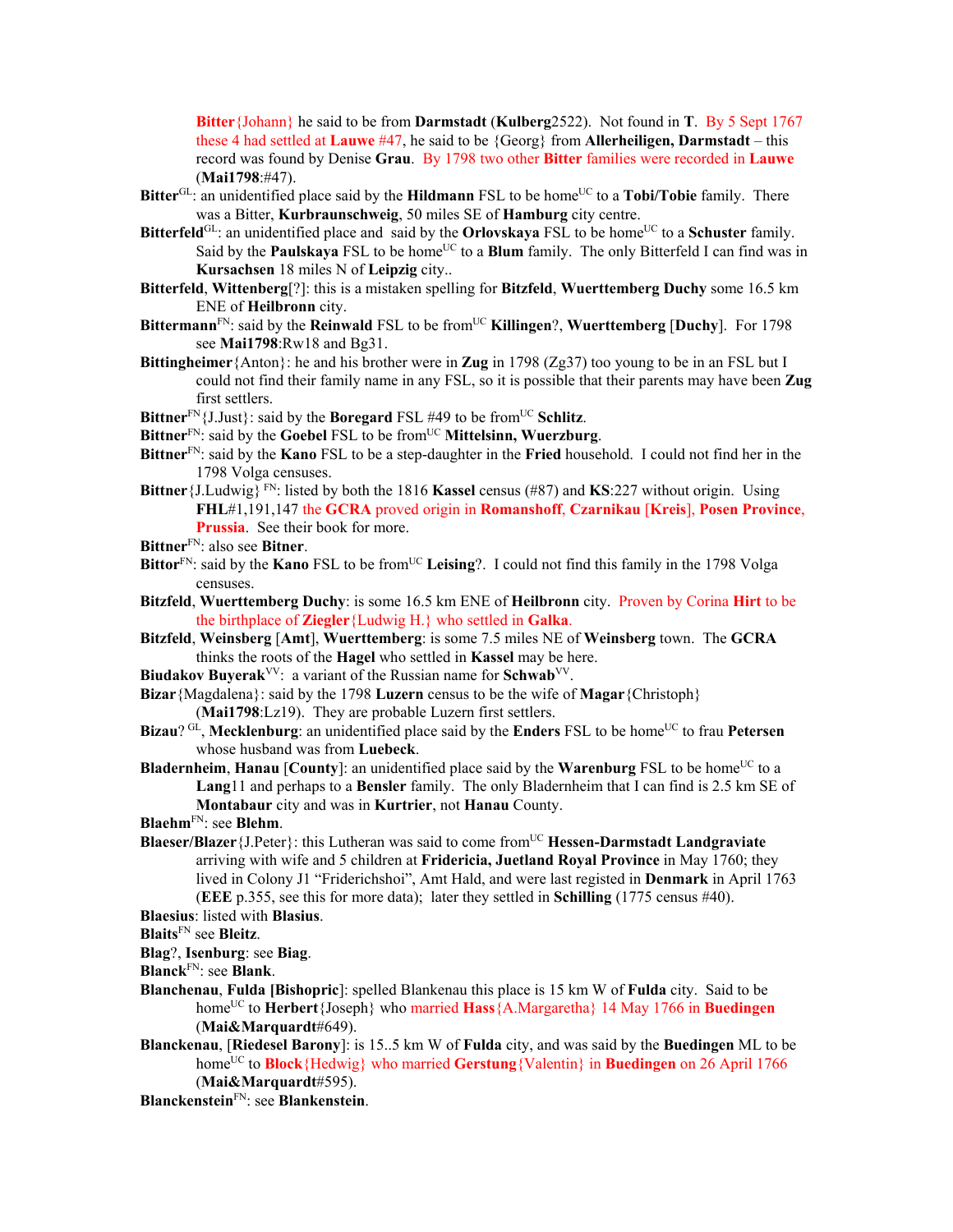**Bitter**{Johann} he said to be from **Darmstadt** (**Kulberg**2522). Not found in **T**. By 5 Sept 1767 these 4 had settled at **Lauwe** #47, he said to be {Georg} from **Allerheiligen, Darmstadt** – this record was found by Denise **Grau**. By 1798 two other **Bitter** families were recorded in **Lauwe** (**Mai1798**:#47).

- **Bitter**<sup>GL</sup>: an unidentified place said by the **Hildmann** FSL to be home<sup>UC</sup> to a **Tobi/Tobie** family. There was a Bitter, **Kurbraunschweig**, 50 miles SE of **Hamburg** city centre.
- **Bitterfeld**<sup>GL</sup>: an unidentified place and said by the **Orlovskaya** FSL to be home<sup>UC</sup> to a **Schuster** family. Said by the **Paulskaya** FSL to be home<sup>UC</sup> to a **Blum** family. The only Bitterfeld I can find was in **Kursachsen** 18 miles N of **Leipzig** city..
- **Bitterfeld**, **Wittenberg**[?]: this is a mistaken spelling for **Bitzfeld**, **Wuerttemberg Duchy** some 16.5 km ENE of **Heilbronn** city.
- **Bittermann**FN: said by the **Reinwald** FSL to be fromUC **Killingen**?, **Wuerttemberg** [**Duchy**]. For 1798 see **Mai1798**:Rw18 and Bg31.
- **Bittingheimer**{Anton}: he and his brother were in **Zug** in 1798 (Zg37) too young to be in an FSL but I could not find their family name in any FSL, so it is possible that their parents may have been **Zug** first settlers.
- **Bittner**<sup>FN</sup>{J.Just}: said by the **Boregard** FSL #49 to be from<sup>UC</sup> Schlitz.
- Bittner<sup>FN</sup>: said by the **Goebel FSL** to be from<sup>UC</sup> **Mittelsinn, Wuerzburg**.
- **Bittner**FN: said by the **Kano** FSL to be a step-daughter in the **Fried** household. I could not find her in the 1798 Volga censuses.
- **Bittner**{J.Ludwig} FN: listed by both the 1816 **Kassel** census (#87) and **KS**:227 without origin. Using **FHL**#1,191,147 the **GCRA** proved origin in **Romanshoff**, **Czarnikau** [**Kreis**], **Posen Province**, **Prussia**. See their book for more.
- **Bittner**FN: also see **Bitner**.
- Bittor<sup>FN</sup>: said by the **Kano** FSL to be from<sup>UC</sup> Leising?. I could not find this family in the 1798 Volga censuses.
- **Bitzfeld**, **Wuerttemberg Duchy**: is some 16.5 km ENE of **Heilbronn** city. Proven by Corina **Hirt** to be the birthplace of **Ziegler**{Ludwig H.} who settled in **Galka**.
- **Bitzfeld**, **Weinsberg** [**Amt**], **Wuerttemberg**: is some 7.5 miles NE of **Weinsberg** town. The **GCRA** thinks the roots of the **Hagel** who settled in **Kassel** may be here.
- **Biudakov Buyerak**VV: a variant of the Russian name for **Schwab**VV.
- **Bizar**{Magdalena}: said by the 1798 **Luzern** census to be the wife of **Magar**{Christoph} (**Mai1798**:Lz19). They are probable Luzern first settlers.
- **Bizau**? GL, **Mecklenburg**: an unidentified place said by the **Enders** FSL to be home<sup>UC</sup> to frau **Petersen** whose husband was from **Luebeck**.
- **Bladernheim, Hanau** [County]: an unidentified place said by the **Warenburg** FSL to be home<sup>UC</sup> to a **Lang**11 and perhaps to a **Bensler** family. The only Bladernheim that I can find is 2.5 km SE of **Montabaur** city and was in **Kurtrier**, not **Hanau** County.
- **Blaehm**FN: see **Blehm**.
- **Blaeser/Blazer**{J.Peter}: this Lutheran was said to come from<sup>UC</sup> **Hessen-Darmstadt Landgraviate** arriving with wife and 5 children at **Fridericia, Juetland Royal Province** in May 1760; they lived in Colony J1 "Friderichshoi", Amt Hald, and were last registed in **Denmark** in April 1763 (**EEE** p.355, see this for more data); later they settled in **Schilling** (1775 census #40).
- **Blaesius**: listed with **Blasius**.
- **Blaits**FN see **Bleitz**.
- **Blag**?, **Isenburg**: see **Biag**.
- **Blanck**FN: see **Blank**.
- **Blanchenau**, **Fulda [Bishopric**]: spelled Blankenau this place is 15 km W of **Fulda** city. Said to be home<sup>UC</sup> to **Herbert**{Joseph} who married **Hass**{A.Margaretha} 14 May 1766 in **Buedingen** (**Mai&Marquardt**#649).
- **Blanckenau**, [**Riedesel Barony**]: is 15..5 km W of **Fulda** city, and was said by the **Buedingen** ML to be home<sup>UC</sup> to **Block**{Hedwig} who married **Gerstung**{Valentin} in **Buedingen** on 26 April 1766 (**Mai&Marquardt**#595).
- **Blanckenstein**FN: see **Blankenstein**.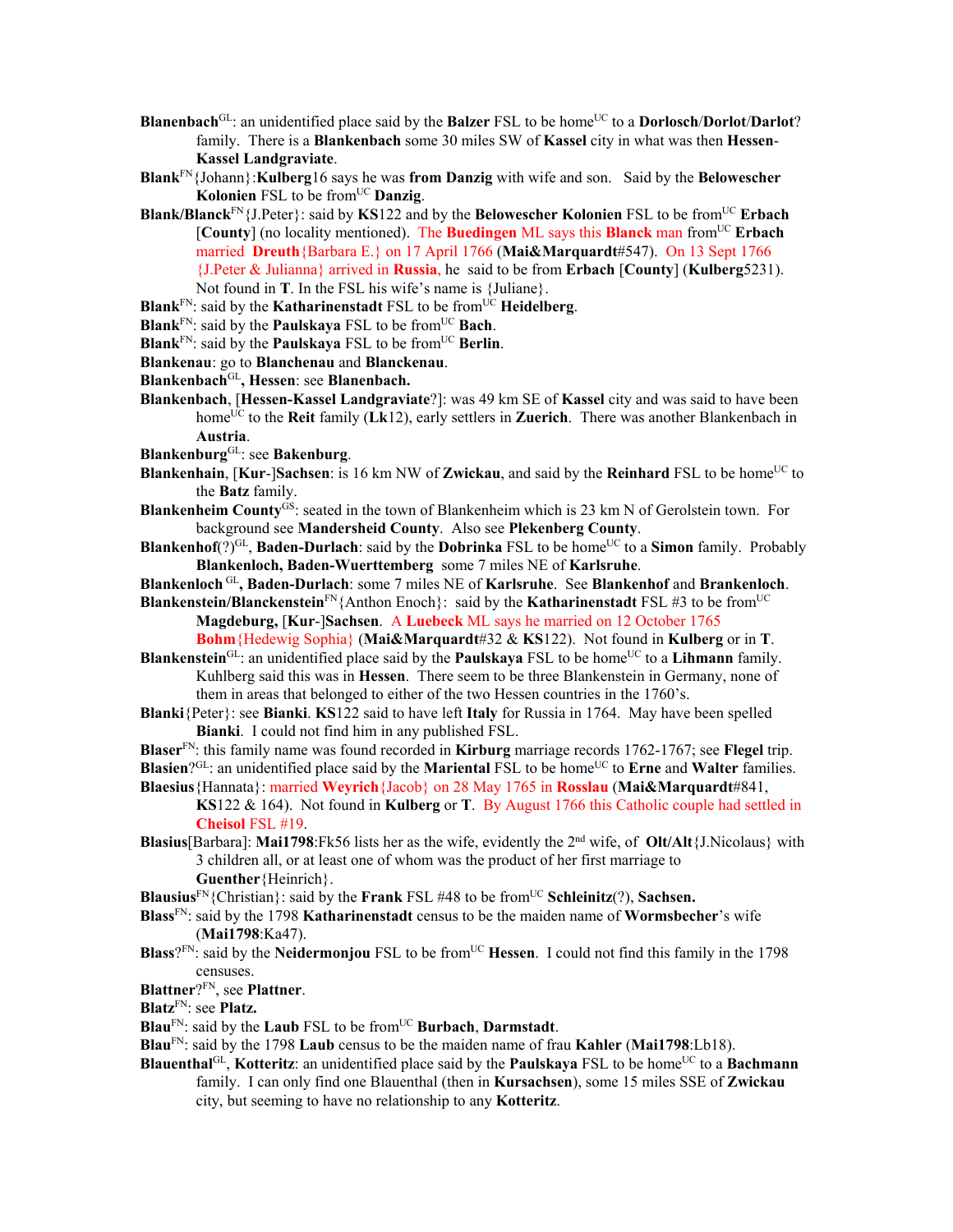- **Blanenbach**<sup>GL</sup>: an unidentified place said by the **Balzer** FSL to be home<sup>UC</sup> to a **Dorlosch/Dorlot/Darlot**? family. There is a **Blankenbach** some 30 miles SW of **Kassel** city in what was then **Hessen**-**Kassel Landgraviate**.
- **Blank**FN{Johann}:**Kulberg**16 says he was **from Danzig** with wife and son. Said by the **Belowescher Kolonien** FSL to be from<sup>UC</sup> **Danzig**.
- **Blank/Blanck**<sup>FN</sup>{J.Peter}: said by **KS**122 and by the **Belowescher Kolonien** FSL to be from<sup>UC</sup> **Erbach** [**County**] (no locality mentioned). The **Buedingen** ML says this **Blanck** man from<sup>UC</sup> **Erbach** married **Dreuth**{Barbara E.} on 17 April 1766 (**Mai&Marquardt**#547). On 13 Sept 1766 {J.Peter & Julianna} arrived in **Russia**, he said to be from **Erbach** [**County**] (**Kulberg**5231). Not found in **T**. In the FSL his wife's name is {Juliane}.
- **Blank**<sup>FN</sup>: said by the **Katharinenstadt** FSL to be from<sup>UC</sup> **Heidelberg**.
- **Blank**<sup>FN</sup>: said by the **Paulskaya** FSL to be from<sup>UC</sup> **Bach**.
- **Blank**<sup>FN</sup>: said by the **Paulskaya** FSL to be from<sup>UC</sup> **Berlin**.
- **Blankenau**: go to **Blanchenau** and **Blanckenau**.
- **Blankenbach**GL**, Hessen**: see **Blanenbach.**
- **Blankenbach**, [**Hessen-Kassel Landgraviate**?]: was 49 km SE of **Kassel** city and was said to have been home<sup>UC</sup> to the **Reit** family (Lk12), early settlers in **Zuerich**. There was another Blankenbach in **Austria**.
- **Blankenburg**GL: see **Bakenburg**.
- **Blankenhain**, [**Kur**-]**Sachsen**: is 16 km NW of **Zwickau**, and said by the **Reinhard** FSL to be home<sup>UC</sup> to the **Batz** family.
- **Blankenheim County**GS: seated in the town of Blankenheim which is 23 km N of Gerolstein town. For background see **Mandersheid County**. Also see **Plekenberg County**.
- **Blankenhof**(?)<sup>GL</sup>, **Baden-Durlach**: said by the **Dobrinka** FSL to be home<sup>UC</sup> to a **Simon** family. Probably **Blankenloch, Baden-Wuerttemberg** some 7 miles NE of **Karlsruhe**.
- **Blankenloch** GL**, Baden-Durlach**: some 7 miles NE of **Karlsruhe**. See **Blankenhof** and **Brankenloch**.

**Blankenstein/Blanckenstein**FN{Anthon Enoch}: said by the **Katharinenstadt** FSL #3 to be fromUC **Magdeburg,** [**Kur**-]**Sachsen**. A **Luebeck** ML says he married on 12 October 1765

**Bohm**{Hedewig Sophia} (**Mai&Marquardt**#32 & **KS**122). Not found in **Kulberg** or in **T**. **Blankenstein**<sup>GL</sup>: an unidentified place said by the **Paulskaya** FSL to be home<sup>UC</sup> to a **Lihmann** family.

Kuhlberg said this was in **Hessen**. There seem to be three Blankenstein in Germany, none of them in areas that belonged to either of the two Hessen countries in the 1760's.

**Blanki**{Peter}: see **Bianki**. **KS**122 said to have left **Italy** for Russia in 1764. May have been spelled **Bianki**. I could not find him in any published FSL.

**Blaser**FN: this family name was found recorded in **Kirburg** marriage records 1762-1767; see **Flegel** trip. **Blasien**?GL: an unidentified place said by the **Mariental** FSL to be home<sup>UC</sup> to **Erne** and **Walter** families. **Blaesius**{Hannata}: married **Weyrich**{Jacob} on 28 May 1765 in **Rosslau** (**Mai&Marquardt**#841,

- **KS**122 & 164). Not found in **Kulberg** or **T**. By August 1766 this Catholic couple had settled in **Cheisol** FSL #19.
- **Blasius**[Barbara]: **Mai1798**:Fk56 lists her as the wife, evidently the 2nd wife, of **Olt/Alt**{J.Nicolaus} with 3 children all, or at least one of whom was the product of her first marriage to **Guenther**{Heinrich}.

**Blausius**<sup>FN</sup>{Christian}: said by the **Frank** FSL #48 to be from<sup>UC</sup> **Schleinitz**(?), **Sachsen.** 

- **Blass**FN: said by the 1798 **Katharinenstadt** census to be the maiden name of **Wormsbecher**'s wife (**Mai1798**:Ka47).
- **Blass**?FN: said by the **Neidermonjou** FSL to be from<sup>UC</sup> **Hessen**. I could not find this family in the 1798 censuses.

**Blattner**?FN, see **Plattner**.

**Blatz**FN: see **Platz.**

- **Blau**FN: said by the **Laub** FSL to be fromUC **Burbach**, **Darmstadt**.
- **Blau**FN: said by the 1798 **Laub** census to be the maiden name of frau **Kahler** (**Mai1798**:Lb18).
- **Blauenthal**GL, **Kotteritz**: an unidentified place said by the **Paulskaya** FSL to be homeUC to a **Bachmann** family. I can only find one Blauenthal (then in **Kursachsen**), some 15 miles SSE of **Zwickau** city, but seeming to have no relationship to any **Kotteritz**.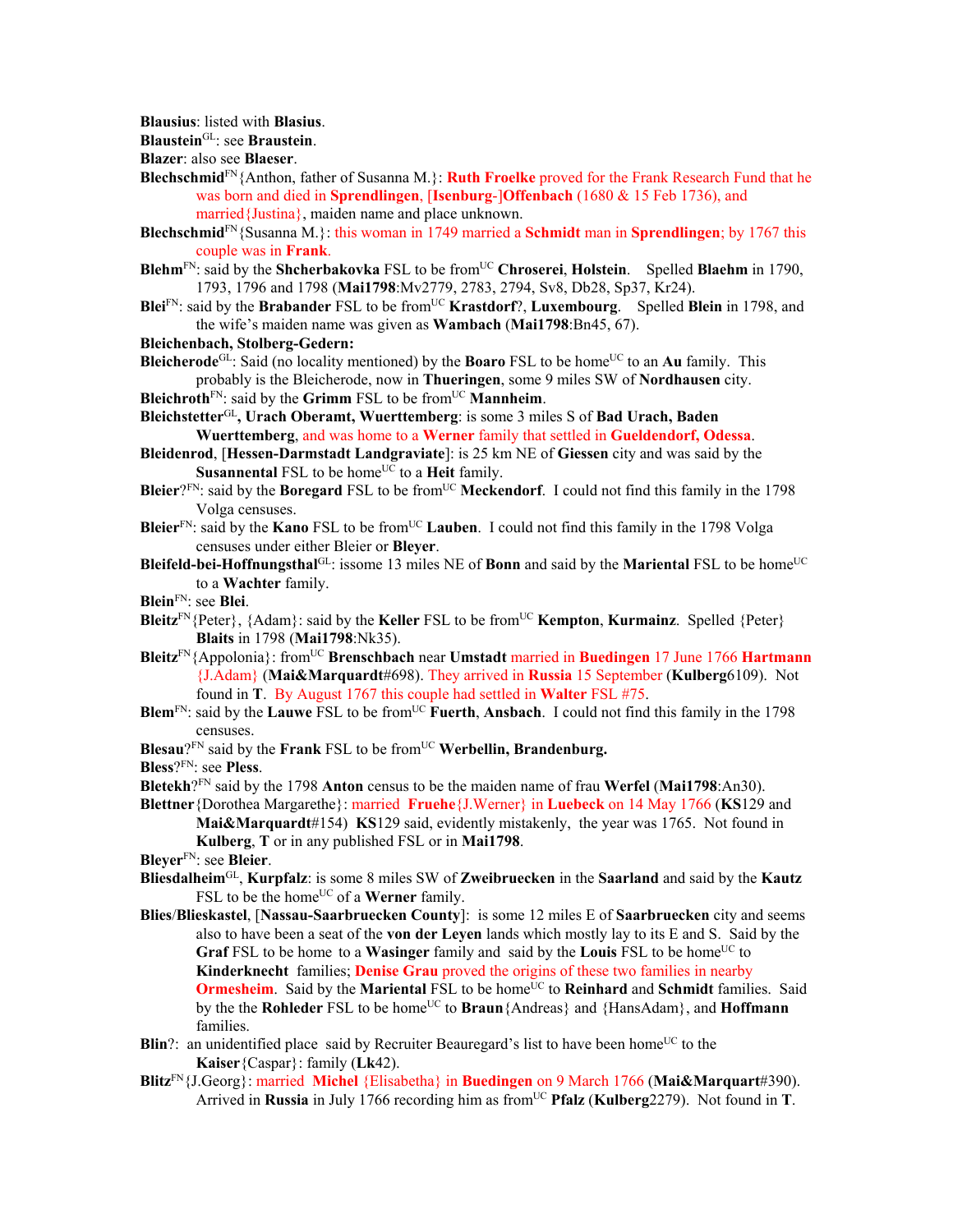**Blausius**: listed with **Blasius**.

**Blaustein**GL: see **Braustein**.

**Blazer**: also see **Blaeser**.

- **Blechschmid**FN{Anthon, father of Susanna M.}: **Ruth Froelke** proved for the Frank Research Fund that he was born and died in **Sprendlingen**, [**Isenburg**-]**Offenbach** (1680 & 15 Feb 1736), and married{Justina}, maiden name and place unknown.
- **Blechschmid**FN{Susanna M.}: this woman in 1749 married a **Schmidt** man in **Sprendlingen**; by 1767 this couple was in **Frank**.
- **Blehm**FN: said by the **Shcherbakovka** FSL to be fromUC **Chroserei**, **Holstein**. Spelled **Blaehm** in 1790, 1793, 1796 and 1798 (**Mai1798**:Mv2779, 2783, 2794, Sv8, Db28, Sp37, Kr24).
- Blei<sup>FN</sup>: said by the Brabander FSL to be from<sup>UC</sup> Krastdorf?, Luxembourg. Spelled Blein in 1798, and the wife's maiden name was given as **Wambach** (**Mai1798**:Bn45, 67).
- **Bleichenbach, Stolberg-Gedern:**
- **Bleicherode**<sup>GL</sup>: Said (no locality mentioned) by the **Boaro** FSL to be home<sup>UC</sup> to an **Au** family. This probably is the Bleicherode, now in **Thueringen**, some 9 miles SW of **Nordhausen** city. **Bleichroth**<sup>FN</sup>: said by the **Grimm** FSL to be from<sup>UC</sup> **Mannheim**.
- **Bleichstetter**GL**, Urach Oberamt, Wuerttemberg**: is some 3 miles S of **Bad Urach, Baden Wuerttemberg**, and was home to a **Werner** family that settled in **Gueldendorf, Odessa**.
- **Bleidenrod**, [**Hessen-Darmstadt Landgraviate**]: is 25 km NE of **Giessen** city and was said by the **Susannental** FSL to be home<sup>UC</sup> to a **Heit** family.
- **Bleier**?FN: said by the **Boregard** FSL to be from<sup>UC</sup> Meckendorf. I could not find this family in the 1798 Volga censuses.
- **Bleier**FN: said by the **Kano** FSL to be fromUC **Lauben**. I could not find this family in the 1798 Volga censuses under either Bleier or **Bleyer**.
- **Bleifeld-bei-Hoffnungsthal**<sup>GL</sup>: issome 13 miles NE of **Bonn** and said by the **Mariental** FSL to be home<sup>UC</sup> to a **Wachter** family.
- **Blein**FN: see **Blei**.
- **Bleitz**<sup>FN</sup>{Peter}, {Adam}: said by the **Keller** FSL to be from<sup>UC</sup> **Kempton**, **Kurmainz**. Spelled {Peter} **Blaits** in 1798 (**Mai1798**:Nk35).
- **Bleitz**FN{Appolonia}: fromUC **Brenschbach** near **Umstadt** married in **Buedingen** 17 June 1766 **Hartmann** {J.Adam} (**Mai&Marquardt**#698). They arrived in **Russia** 15 September (**Kulberg**6109). Not found in **T**. By August 1767 this couple had settled in **Walter** FSL #75.
- **Blem**FN: said by the **Lauwe** FSL to be fromUC **Fuerth**, **Ansbach**. I could not find this family in the 1798 censuses.
- **Blesau**?<sup>FN</sup> said by the **Frank** FSL to be from<sup>UC</sup> **Werbellin, Brandenburg.**
- **Bless**?FN: see **Pless**.
- **Bletekh**?FN said by the 1798 **Anton** census to be the maiden name of frau **Werfel** (**Mai1798**:An30).
- **Blettner**{Dorothea Margarethe}: married **Fruehe**{J.Werner} in **Luebeck** on 14 May 1766 (**KS**129 and **Mai&Marquardt**#154) **KS**129 said, evidently mistakenly, the year was 1765. Not found in **Kulberg**, **T** or in any published FSL or in **Mai1798**.
- **Bleyer**FN: see **Bleier**.
- **Bliesdalheim**GL, **Kurpfalz**: is some 8 miles SW of **Zweibruecken** in the **Saarland** and said by the **Kautz** FSL to be the home<sup>UC</sup> of a **Werner** family.
- **Blies**/**Blieskastel**, [**Nassau-Saarbruecken County**]: is some 12 miles E of **Saarbruecken** city and seems also to have been a seat of the **von der Leyen** lands which mostly lay to its E and S. Said by the **Graf** FSL to be home to a **Wasinger** family and said by the **Louis** FSL to be home<sup>UC</sup> to **Kinderknecht** families; **Denise Grau** proved the origins of these two families in nearby **Ormesheim.** Said by the **Mariental** FSL to be home<sup>UC</sup> to **Reinhard** and **Schmidt** families. Said by the the **Rohleder** FSL to be home<sup>UC</sup> to **Braun**{Andreas} and {HansAdam}, and **Hoffmann** families.
- **Blin**?: an unidentified place said by Recruiter Beauregard's list to have been home<sup>UC</sup> to the **Kaiser**{Caspar}: family (**Lk**42).
- **Blitz**FN{J.Georg}: married **Michel** {Elisabetha} in **Buedingen** on 9 March 1766 (**Mai&Marquart**#390). Arrived in **Russia** in July 1766 recording him as fromUC **Pfalz** (**Kulberg**2279). Not found in **T**.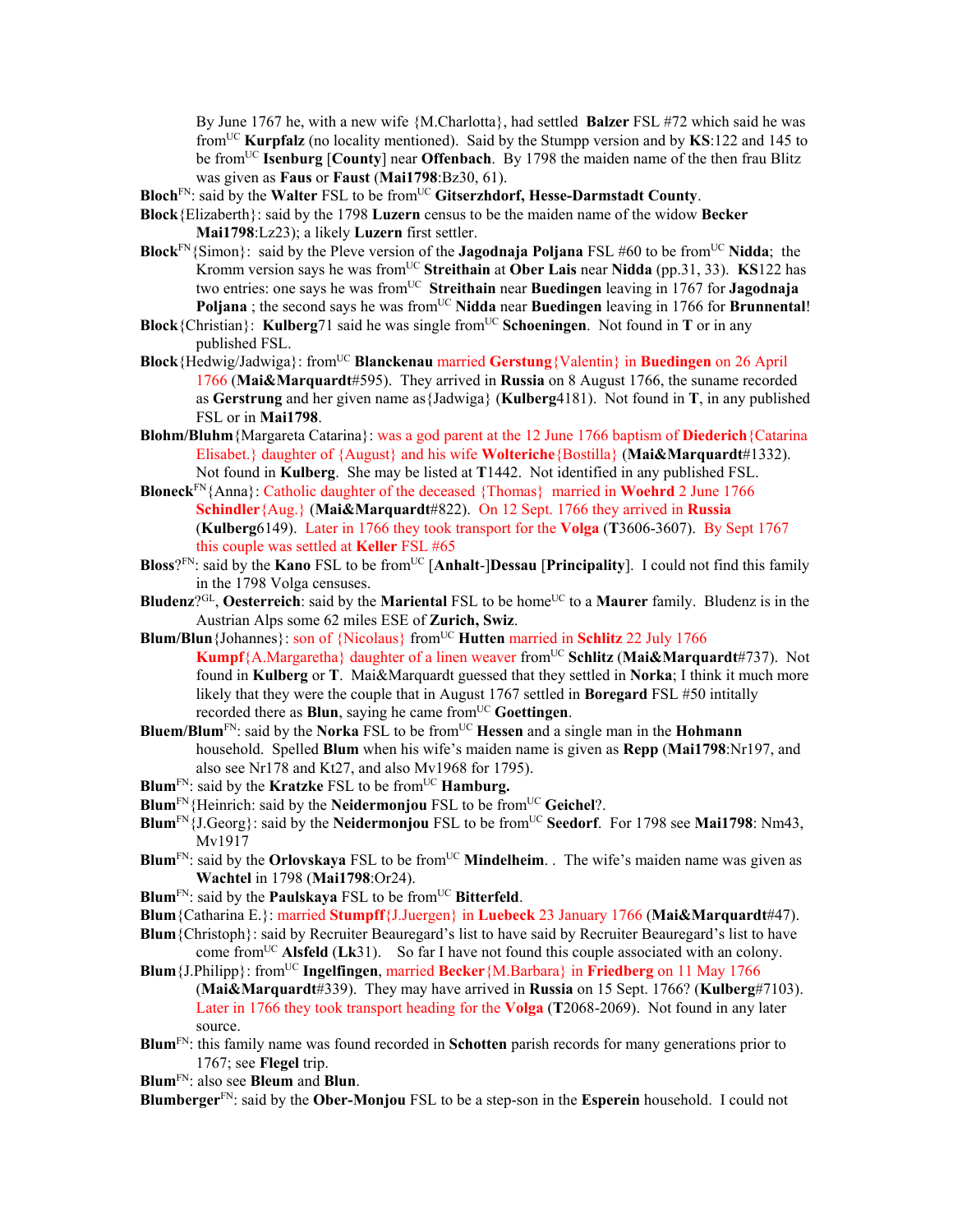By June 1767 he, with a new wife {M.Charlotta}, had settled **Balzer** FSL #72 which said he was fromUC **Kurpfalz** (no locality mentioned). Said by the Stumpp version and by **KS**:122 and 145 to be fromUC **Isenburg** [**County**] near **Offenbach**.By 1798 the maiden name of the then frau Blitz was given as **Faus** or **Faust** (**Mai1798**:Bz30, 61).

- **Bloch**<sup>FN</sup>: said by the **Walter** FSL to be from<sup>UC</sup> Gitserzhdorf, Hesse-Darmstadt County.
- **Block**{Elizaberth}: said by the 1798 **Luzern** census to be the maiden name of the widow **Becker Mai1798**:Lz23); a likely **Luzern** first settler.
- **Block**<sup>FN</sup>{Simon}: said by the Pleve version of the **Jagodnaja Poljana** FSL #60 to be from<sup>UC</sup> Nidda; the Kromm version says he was fromUC **Streithain** at **Ober Lais** near **Nidda** (pp.31, 33). **KS**122 has two entries: one says he was fromUC **Streithain** near **Buedingen** leaving in 1767 for **Jagodnaja Poljana** ; the second says he was from<sup>UC</sup> Nidda near Buedingen leaving in 1766 for Brunnental!
- **Block**{Christian}: **Kulberg**71 said he was single from<sup>UC</sup> **Schoeningen**. Not found in **T** or in any published FSL.
- **Block**{Hedwig/Jadwiga}: fromUC **Blanckenau** married **Gerstung**{Valentin} in **Buedingen** on 26 April 1766 (**Mai&Marquardt**#595). They arrived in **Russia** on 8 August 1766, the suname recorded as **Gerstrung** and her given name as{Jadwiga} (**Kulberg**4181). Not found in **T**, in any published FSL or in **Mai1798**.
- **Blohm/Bluhm**{Margareta Catarina}: was a god parent at the 12 June 1766 baptism of **Diederich**{Catarina Elisabet.} daughter of {August} and his wife **Wolteriche**{Bostilla} (**Mai&Marquardt**#1332). Not found in **Kulberg**. She may be listed at **T**1442. Not identified in any published FSL.
- **Bloneck**FN{Anna}: Catholic daughter of the deceased {Thomas} married in **Woehrd** 2 June 1766 **Schindler**{Aug.} (**Mai&Marquardt**#822). On 12 Sept. 1766 they arrived in **Russia** (**Kulberg**6149). Later in 1766 they took transport for the **Volga** (**T**3606-3607). By Sept 1767 this couple was settled at **Keller** FSL #65
- **Bloss**?FN: said by the **Kano** FSL to be fromUC [**Anhalt**-]**Dessau** [**Principality**]. I could not find this family in the 1798 Volga censuses.
- **Bludenz**?<sup>GL</sup>, **Oesterreich**: said by the **Mariental** FSL to be home<sup>UC</sup> to a **Maurer** family. Bludenz is in the Austrian Alps some 62 miles ESE of **Zurich, Swiz**.
- **Blum/Blun** {Johannes}: son of {Nicolaus} from<sup>UC</sup> **Hutten** married in **Schlitz** 22 July 1766 **Kumpf**{A.Margaretha} daughter of a linen weaver fromUC **Schlitz** (**Mai&Marquardt**#737). Not found in **Kulberg** or **T**. Mai&Marquardt guessed that they settled in **Norka**; I think it much more likely that they were the couple that in August 1767 settled in **Boregard** FSL #50 intitally recorded there as **Blun**, saying he came from<sup>UC</sup> Goettingen.
- **Bluem/Blum**FN: said by the **Norka** FSL to be fromUC **Hessen** and a single man in the **Hohmann** household. Spelled **Blum** when his wife's maiden name is given as **Repp** (**Mai1798**:Nr197, and also see Nr178 and Kt27, and also Mv1968 for 1795).
- **Blum<sup>FN</sup>: said by the Kratzke FSL to be from<sup>UC</sup> <b>Hamburg.**
- **Blum**<sup>FN</sup>{Heinrich: said by the **Neidermonjou** FSL to be from<sup>UC</sup> Geichel?.
- **Blum**FN{J.Georg}: said by the **Neidermonjou** FSL to be fromUC **Seedorf**. For 1798 see **Mai1798**: Nm43, Mv1917
- **Blum**<sup>FN</sup>: said by the **Orlovskaya** FSL to be from<sup>UC</sup> **Mindelheim**. . The wife's maiden name was given as **Wachtel** in 1798 (**Mai1798**:Or24).
- **Blum**<sup>FN</sup>: said by the **Paulskaya** FSL to be from<sup>UC</sup> **Bitterfeld**.
- **Blum**{Catharina E.}: married **Stumpff**{J.Juergen} in **Luebeck** 23 January 1766 (**Mai&Marquardt**#47).
- **Blum**{Christoph}: said by Recruiter Beauregard's list to have said by Recruiter Beauregard's list to have come fromUC **Alsfeld** (**Lk**31). So far I have not found this couple associated with an colony.
- **Blum**{J.Philipp}: fromUC **Ingelfingen**, married **Becker**{M.Barbara} in **Friedberg** on 11 May 1766 (**Mai&Marquardt**#339). They may have arrived in **Russia** on 15 Sept. 1766? (**Kulberg**#7103). Later in 1766 they took transport heading for the **Volga** (**T**2068-2069). Not found in any later source.
- **Blum**FN: this family name was found recorded in **Schotten** parish records for many generations prior to 1767; see **Flegel** trip.
- **Blum**FN: also see **Bleum** and **Blun**.

**Blumberger**FN: said by the **Ober-Monjou** FSL to be a step-son in the **Esperein** household. I could not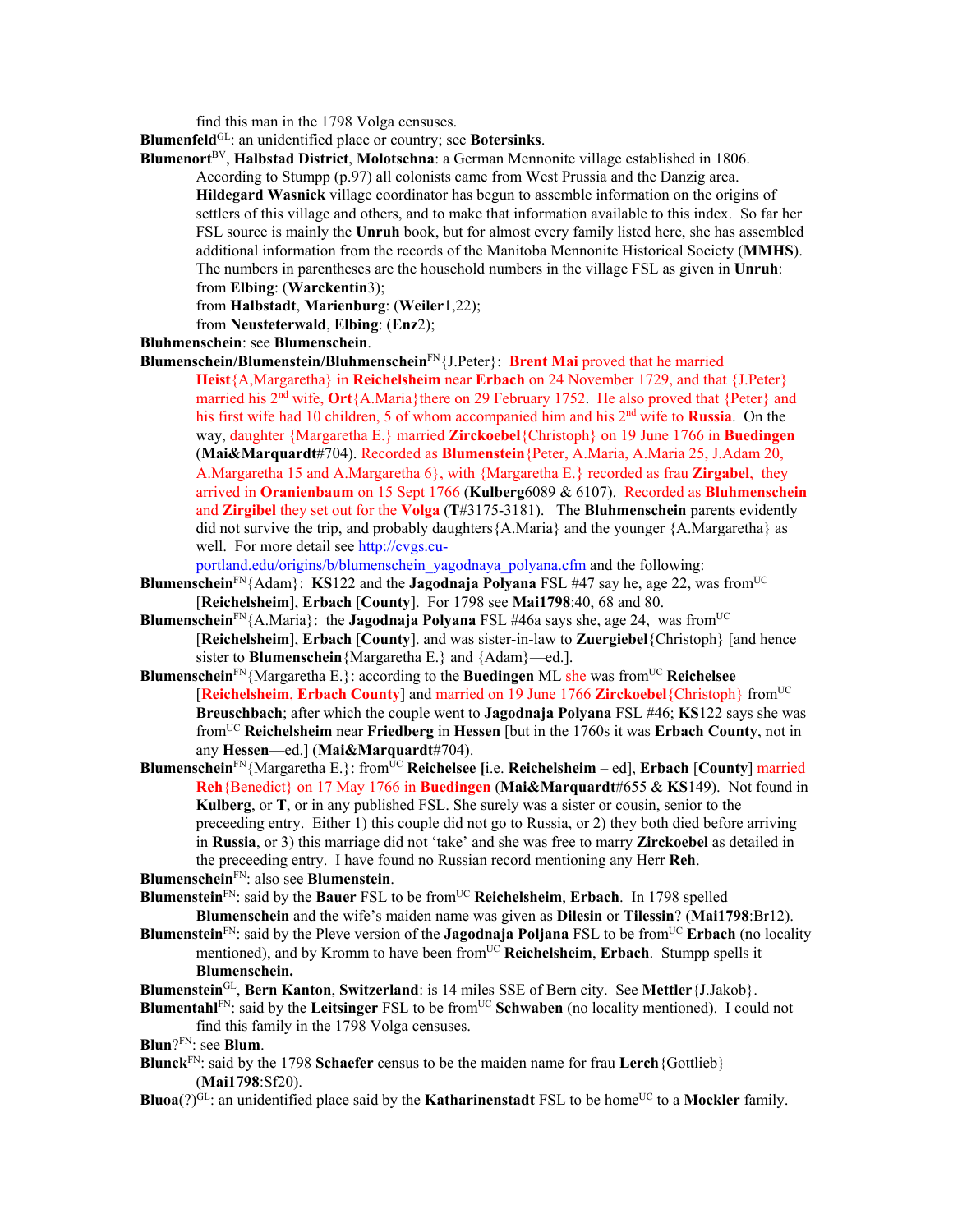find this man in the 1798 Volga censuses.

**Blumenfeld**GL: an unidentified place or country; see **Botersinks**.

**Blumenort**BV, **Halbstad District**, **Molotschna**: a German Mennonite village established in 1806. According to Stumpp (p.97) all colonists came from West Prussia and the Danzig area. **Hildegard Wasnick** village coordinator has begun to assemble information on the origins of settlers of this village and others, and to make that information available to this index. So far her FSL source is mainly the **Unruh** book, but for almost every family listed here, she has assembled additional information from the records of the Manitoba Mennonite Historical Society (**MMHS**). The numbers in parentheses are the household numbers in the village FSL as given in **Unruh**: from **Elbing**: (**Warckentin**3);

from **Halbstadt**, **Marienburg**: (**Weiler**1,22);

from **Neusteterwald**, **Elbing**: (**Enz**2);

#### **Bluhmenschein**: see **Blumenschein**.

**Blumenschein/Blumenstein/Bluhmenschein**FN{J.Peter}: **Brent Mai** proved that he married

**Heist**{A,Margaretha} in **Reichelsheim** near **Erbach** on 24 November 1729, and that {J.Peter} married his 2nd wife, **Ort**{A.Maria}there on 29 February 1752. He also proved that {Peter} and his first wife had 10 children, 5 of whom accompanied him and his 2<sup>nd</sup> wife to **Russia**. On the way, daughter {Margaretha E.} married **Zirckoebel**{Christoph} on 19 June 1766 in **Buedingen** (**Mai&Marquardt**#704). Recorded as **Blumenstein**{Peter, A.Maria, A.Maria 25, J.Adam 20, A.Margaretha 15 and A.Margaretha 6}, with {Margaretha E.} recorded as frau **Zirgabel**, they arrived in **Oranienbaum** on 15 Sept 1766 (**Kulberg**6089 & 6107). Recorded as **Bluhmenschein** and **Zirgibel** they set out for the **Volga** (**T**#3175-3181). The **Bluhmenschein** parents evidently did not survive the trip, and probably daughters {A.Maria} and the younger  ${A.Margaretha}$  as well. For more detail see http://cvgs.cu-

portland.edu/origins/b/blumenschein\_yagodnaya\_polyana.cfm and the following:

- **Blumenschein**<sup>FN</sup>{Adam}: **KS**122 and the **Jagodnaja Polyana** FSL #47 say he, age 22, was from<sup>UC</sup> [**Reichelsheim**], **Erbach** [**County**]. For 1798 see **Mai1798**:40, 68 and 80.
- **Blumenschein**<sup>FN</sup>{A.Maria}: the **Jagodnaja Polyana** FSL #46a says she, age 24, was from<sup>UC</sup> [**Reichelsheim**], **Erbach** [**County**]. and was sister-in-law to **Zuergiebel**{Christoph} [and hence sister to **Blumenschein**{Margaretha E.} and {Adam}—ed.].
- **Blumenschein**<sup>FN</sup>{Margaretha E.}: according to the **Buedingen** ML she was from<sup>UC</sup> **Reichelsee** [**Reichelsheim**, **Erbach County**] and married on 19 June 1766 **Zirckoebel**{Christoph} fromUC **Breuschbach**; after which the couple went to **Jagodnaja Polyana** FSL #46; **KS**122 says she was fromUC **Reichelsheim** near **Friedberg** in **Hessen** [but in the 1760s it was **Erbach County**, not in any **Hessen**—ed.] (**Mai&Marquardt**#704).
- **Blumenschein**<sup>FN</sup>{Margaretha E.}: from<sup>UC</sup> **Reichelsee** [i.e. **Reichelsheim** ed], **Erbach** [County] married **Reh**{Benedict} on 17 May 1766 in **Buedingen** (**Mai&Marquardt**#655 & **KS**149). Not found in **Kulberg**, or **T**, or in any published FSL. She surely was a sister or cousin, senior to the preceeding entry. Either 1) this couple did not go to Russia, or 2) they both died before arriving in **Russia**, or 3) this marriage did not 'take' and she was free to marry **Zirckoebel** as detailed in the preceeding entry. I have found no Russian record mentioning any Herr **Reh**.

**Blumenschein**FN: also see **Blumenstein**.

- **Blumenstein**FN: said by the **Bauer** FSL to be fromUC **Reichelsheim**, **Erbach**. In 1798 spelled **Blumenschein** and the wife's maiden name was given as **Dilesin** or **Tilessin**? (**Mai1798**:Br12).
- **Blumenstein**FN: said by the Pleve version of the **Jagodnaja Poljana** FSL to be fromUC **Erbach** (no locality mentioned), and by Kromm to have been fromUC **Reichelsheim**, **Erbach**. Stumpp spells it **Blumenschein.**

**Blumenstein**GL, **Bern Kanton**, **Switzerland**: is 14 miles SSE of Bern city. See **Mettler**{J.Jakob}.

**Blumentahl**<sup>FN</sup>: said by the **Leitsinger** FSL to be from<sup>UC</sup> **Schwaben** (no locality mentioned). I could not find this family in the 1798 Volga censuses.

**Blun**?FN: see **Blum**.

- **Blunck**FN: said by the 1798 **Schaefer** census to be the maiden name for frau **Lerch**{Gottlieb} (**Mai1798**:Sf20).
- **Bluoa**(?)<sup>GL</sup>: an unidentified place said by the **Katharinenstadt** FSL to be home<sup>UC</sup> to a **Mockler** family.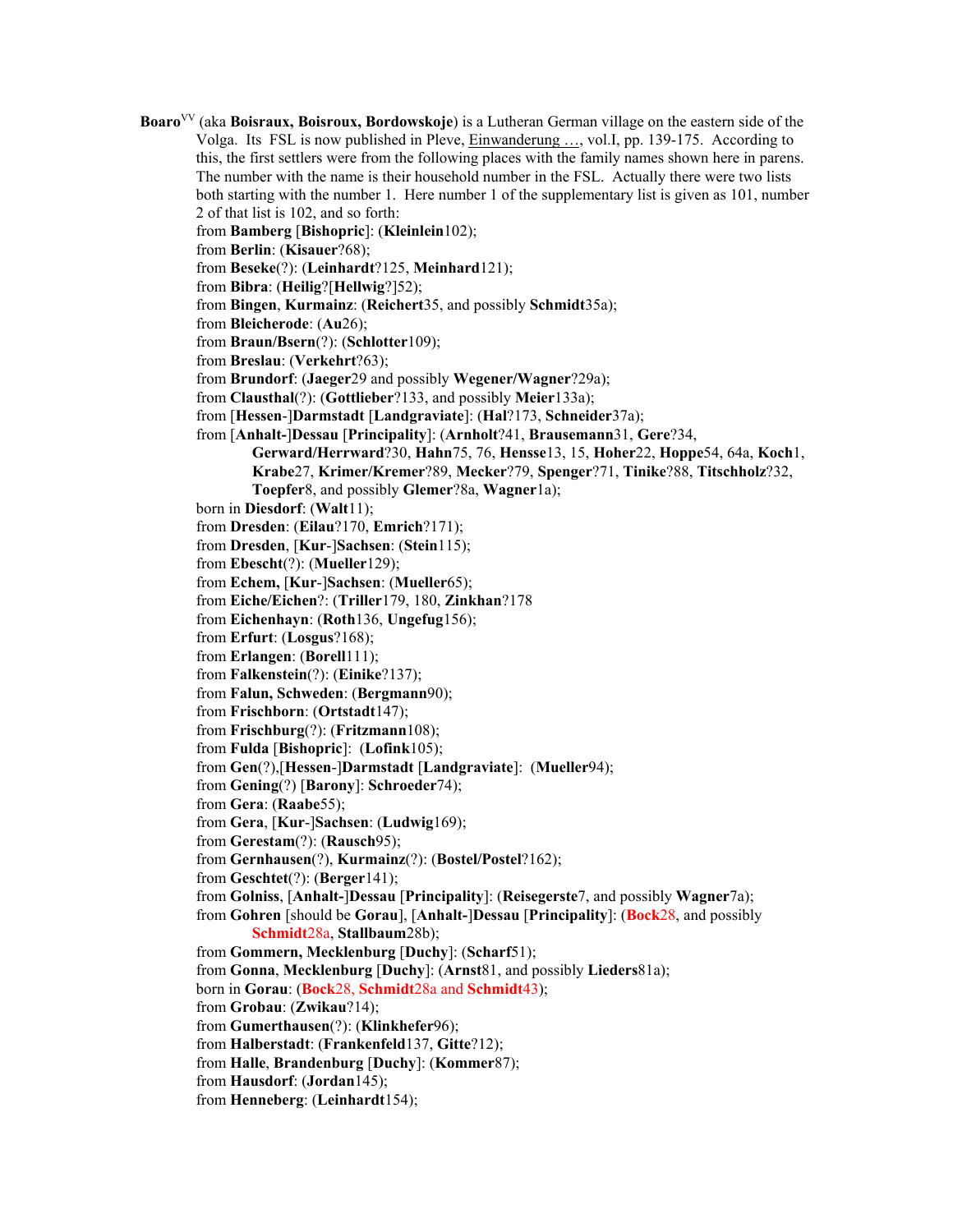**Boaro**VV (aka **Boisraux, Boisroux, Bordowskoje**) is a Lutheran German village on the eastern side of the Volga. Its FSL is now published in Pleve, Einwanderung …, vol.I, pp. 139-175. According to this, the first settlers were from the following places with the family names shown here in parens. The number with the name is their household number in the FSL. Actually there were two lists both starting with the number 1. Here number 1 of the supplementary list is given as 101, number 2 of that list is 102, and so forth:

from **Bamberg** [**Bishopric**]: (**Kleinlein**102);

from **Berlin**: (**Kisauer**?68);

from **Beseke**(?): (**Leinhardt**?125, **Meinhard**121);

from **Bibra**: (**Heilig**?[**Hellwig**?]52);

from **Bingen**, **Kurmainz**: (**Reichert**35, and possibly **Schmidt**35a);

from **Bleicherode**: (**Au**26);

from **Braun/Bsern**(?): (**Schlotter**109);

from **Breslau**: (**Verkehrt**?63);

from **Brundorf**: (**Jaeger**29 and possibly **Wegener/Wagner**?29a);

from **Clausthal**(?): (**Gottlieber**?133, and possibly **Meier**133a);

from [**Hessen**-]**Darmstadt** [**Landgraviate**]: (**Hal**?173, **Schneider**37a);

from [**Anhalt-**]**Dessau** [**Principality**]: (**Arnholt**?41, **Brausemann**31, **Gere**?34,

**Gerward/Herrward**?30, **Hahn**75, 76, **Hensse**13, 15, **Hoher**22, **Hoppe**54, 64a, **Koch**1, **Krabe**27, **Krimer/Kremer**?89, **Mecker**?79, **Spenger**?71, **Tinike**?88, **Titschholz**?32, **Toepfer**8, and possibly **Glemer**?8a, **Wagner**1a);

born in **Diesdorf**: (**Walt**11);

from **Dresden**: (**Eilau**?170, **Emrich**?171);

from **Dresden**, [**Kur**-]**Sachsen**: (**Stein**115);

from **Ebescht**(?): (**Mueller**129);

from **Echem,** [**Kur**-]**Sachsen**: (**Mueller**65);

from **Eiche/Eichen**?: (**Triller**179, 180, **Zinkhan**?178

from **Eichenhayn**: (**Roth**136, **Ungefug**156);

from **Erfurt**: (**Losgus**?168);

from **Erlangen**: (**Borell**111);

from **Falkenstein**(?): (**Einike**?137);

from **Falun, Schweden**: (**Bergmann**90);

from **Frischborn**: (**Ortstadt**147);

from **Frischburg**(?): (**Fritzmann**108);

from **Fulda** [**Bishopric**]: (**Lofink**105);

from **Gen**(?),[**Hessen**-]**Darmstadt** [**Landgraviate**]: (**Mueller**94);

from **Gening**(?) [**Barony**]: **Schroeder**74);

from **Gera**: (**Raabe**55);

from **Gera**, [**Kur**-]**Sachsen**: (**Ludwig**169);

from **Gerestam**(?): (**Rausch**95);

from **Gernhausen**(?), **Kurmainz**(?): (**Bostel/Postel**?162);

from **Geschtet**(?): (**Berger**141);

from **Golniss**, [**Anhalt-**]**Dessau** [**Principality**]: (**Reisegerste**7, and possibly **Wagner**7a);

from **Gohren** [should be **Gorau**], [**Anhalt-**]**Dessau** [**Principality**]: (**Bock**28, and possibly **Schmidt**28a, **Stallbaum**28b);

from **Gommern, Mecklenburg** [**Duchy**]: (**Scharf**51);

from **Gonna**, **Mecklenburg** [**Duchy**]: (**Arnst**81, and possibly **Lieders**81a);

born in **Gorau**: (**Bock**28, **Schmidt**28a and **Schmidt**43);

from **Grobau**: (**Zwikau**?14);

from **Gumerthausen**(?): (**Klinkhefer**96);

from **Halberstadt**: (**Frankenfeld**137, **Gitte**?12);

from **Halle**, **Brandenburg** [**Duchy**]: (**Kommer**87);

from **Hausdorf**: (**Jordan**145);

from **Henneberg**: (**Leinhardt**154);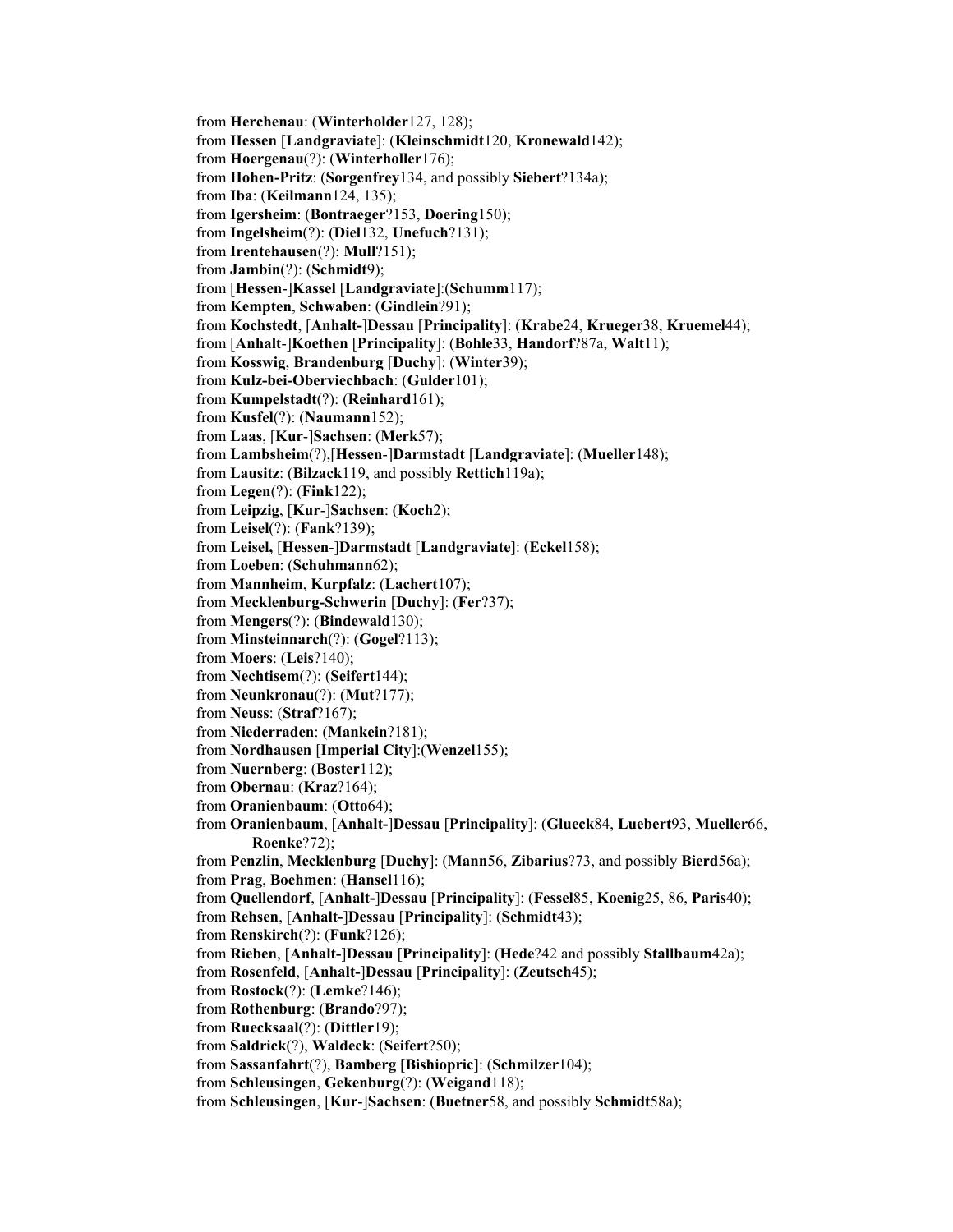from **Herchenau**: (**Winterholder**127, 128); from **Hessen** [**Landgraviate**]: (**Kleinschmidt**120, **Kronewald**142); from **Hoergenau**(?): (**Winterholler**176); from **Hohen-Pritz**: (**Sorgenfrey**134, and possibly **Siebert**?134a); from **Iba**: (**Keilmann**124, 135); from **Igersheim**: (**Bontraeger**?153, **Doering**150); from **Ingelsheim**(?): (**Diel**132, **Unefuch**?131); from **Irentehausen**(?): **Mull**?151); from **Jambin**(?): (**Schmidt**9); from [**Hessen**-]**Kassel** [**Landgraviate**]:(**Schumm**117); from **Kempten**, **Schwaben**: (**Gindlein**?91); from **Kochstedt**, [**Anhalt-**]**Dessau** [**Principality**]: (**Krabe**24, **Krueger**38, **Kruemel**44); from [**Anhalt**-]**Koethen** [**Principality**]: (**Bohle**33, **Handorf**?87a, **Walt**11); from **Kosswig**, **Brandenburg** [**Duchy**]: (**Winter**39); from **Kulz-bei-Oberviechbach**: (**Gulder**101); from **Kumpelstadt**(?): (**Reinhard**161); from **Kusfel**(?): (**Naumann**152); from **Laas**, [**Kur**-]**Sachsen**: (**Merk**57); from **Lambsheim**(?),[**Hessen**-]**Darmstadt** [**Landgraviate**]: (**Mueller**148); from **Lausitz**: (**Bilzack**119, and possibly **Rettich**119a); from **Legen**(?): (**Fink**122); from **Leipzig**, [**Kur**-]**Sachsen**: (**Koch**2); from **Leisel**(?): (**Fank**?139); from **Leisel,** [**Hessen**-]**Darmstadt** [**Landgraviate**]: (**Eckel**158); from **Loeben**: (**Schuhmann**62); from **Mannheim**, **Kurpfalz**: (**Lachert**107); from **Mecklenburg-Schwerin** [**Duchy**]: (**Fer**?37); from **Mengers**(?): (**Bindewald**130); from **Minsteinnarch**(?): (**Gogel**?113); from **Moers**: (**Leis**?140); from **Nechtisem**(?): (**Seifert**144); from **Neunkronau**(?): (**Mut**?177); from **Neuss**: (**Straf**?167); from **Niederraden**: (**Mankein**?181); from **Nordhausen** [**Imperial City**]:(**Wenzel**155); from **Nuernberg**: (**Boster**112); from **Obernau**: (**Kraz**?164); from **Oranienbaum**: (**Otto**64); from **Oranienbaum**, [**Anhalt-**]**Dessau** [**Principality**]: (**Glueck**84, **Luebert**93, **Mueller**66, **Roenke**?72); from **Penzlin**, **Mecklenburg** [**Duchy**]: (**Mann**56, **Zibarius**?73, and possibly **Bierd**56a); from **Prag**, **Boehmen**: (**Hansel**116); from **Quellendorf**, [**Anhalt-**]**Dessau** [**Principality**]: (**Fessel**85, **Koenig**25, 86, **Paris**40); from **Rehsen**, [**Anhalt-**]**Dessau** [**Principality**]: (**Schmidt**43); from **Renskirch**(?): (**Funk**?126); from **Rieben**, [**Anhalt-**]**Dessau** [**Principality**]: (**Hede**?42 and possibly **Stallbaum**42a); from **Rosenfeld**, [**Anhalt-**]**Dessau** [**Principality**]: (**Zeutsch**45); from **Rostock**(?): (**Lemke**?146); from **Rothenburg**: (**Brando**?97); from **Ruecksaal**(?): (**Dittler**19); from **Saldrick**(?), **Waldeck**: (**Seifert**?50); from **Sassanfahrt**(?), **Bamberg** [**Bishiopric**]: (**Schmilzer**104); from **Schleusingen**, **Gekenburg**(?): (**Weigand**118); from **Schleusingen**, [**Kur**-]**Sachsen**: (**Buetner**58, and possibly **Schmidt**58a);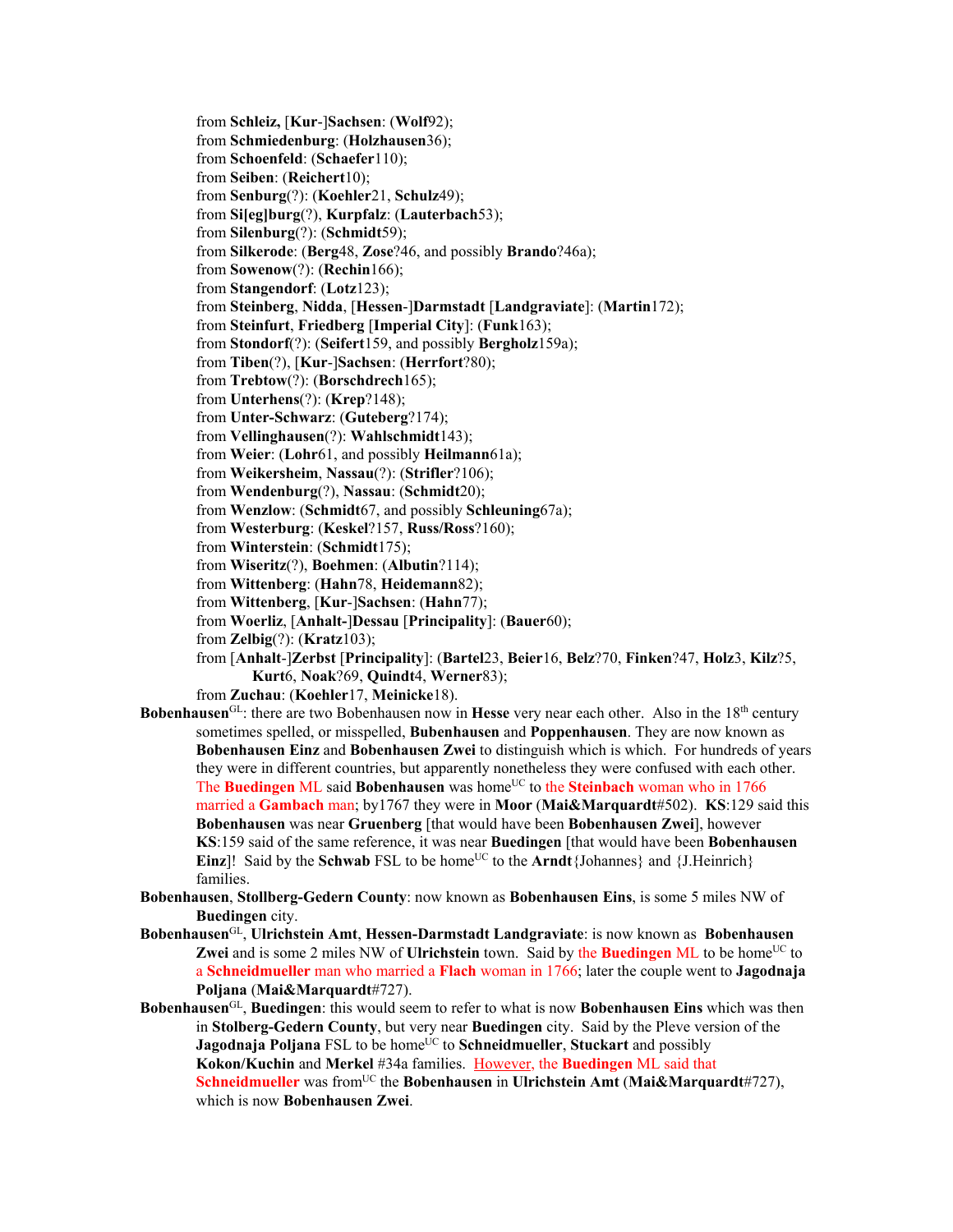from **Schleiz,** [**Kur**-]**Sachsen**: (**Wolf**92); from **Schmiedenburg**: (**Holzhausen**36); from **Schoenfeld**: (**Schaefer**110); from **Seiben**: (**Reichert**10); from **Senburg**(?): (**Koehler**21, **Schulz**49); from **Si[eg]burg**(?), **Kurpfalz**: (**Lauterbach**53); from **Silenburg**(?): (**Schmidt**59); from **Silkerode**: (**Berg**48, **Zose**?46, and possibly **Brando**?46a); from **Sowenow**(?): (**Rechin**166); from **Stangendorf**: (**Lotz**123); from **Steinberg**, **Nidda**, [**Hessen**-]**Darmstadt** [**Landgraviate**]: (**Martin**172); from **Steinfurt**, **Friedberg** [**Imperial City**]: (**Funk**163); from **Stondorf**(?): (**Seifert**159, and possibly **Bergholz**159a); from **Tiben**(?), [**Kur**-]**Sachsen**: (**Herrfort**?80); from **Trebtow**(?): (**Borschdrech**165); from **Unterhens**(?): (**Krep**?148); from **Unter-Schwarz**: (**Guteberg**?174); from **Vellinghausen**(?): **Wahlschmidt**143); from **Weier**: (**Lohr**61, and possibly **Heilmann**61a); from **Weikersheim**, **Nassau**(?): (**Strifler**?106); from **Wendenburg**(?), **Nassau**: (**Schmidt**20); from **Wenzlow**: (**Schmidt**67, and possibly **Schleuning**67a); from **Westerburg**: (**Keskel**?157, **Russ/Ross**?160); from **Winterstein**: (**Schmidt**175); from **Wiseritz**(?), **Boehmen**: (**Albutin**?114); from **Wittenberg**: (**Hahn**78, **Heidemann**82); from **Wittenberg**, [**Kur**-]**Sachsen**: (**Hahn**77); from **Woerliz**, [**Anhalt-**]**Dessau** [**Principality**]: (**Bauer**60); from **Zelbig**(?): (**Kratz**103); from [**Anhalt**-]**Zerbst** [**Principality**]: (**Bartel**23, **Beier**16, **Belz**?70, **Finken**?47, **Holz**3, **Kilz**?5, **Kurt**6, **Noak**?69, **Quindt**4, **Werner**83); from **Zuchau**: (**Koehler**17, **Meinicke**18). **Bobenhausen**GL: there are two Bobenhausen now in **Hesse** very near each other. Also in the 18<sup>th</sup> century sometimes spelled, or misspelled, **Bubenhausen** and **Poppenhausen**. They are now known as **Bobenhausen Einz** and **Bobenhausen Zwei** to distinguish which is which. For hundreds of years they were in different countries, but apparently nonetheless they were confused with each other. The **Buedingen** ML said **Bobenhausen** was home<sup>UC</sup> to the **Steinbach** woman who in 1766 married a **Gambach** man; by1767 they were in **Moor** (**Mai&Marquardt**#502). **KS**:129 said this **Bobenhausen** was near **Gruenberg** [that would have been **Bobenhausen Zwei**], however **KS**:159 said of the same reference, it was near **Buedingen** [that would have been **Bobenhausen Einz**]! Said by the **Schwab** FSL to be home<sup>UC</sup> to the **Arndt**{Johannes} and {J.Heinrich} families.

- **Bobenhausen**, **Stollberg-Gedern County**: now known as **Bobenhausen Eins**, is some 5 miles NW of **Buedingen** city.
- **Bobenhausen**GL, **Ulrichstein Amt**, **Hessen-Darmstadt Landgraviate**: is now known as **Bobenhausen Zwei** and is some 2 miles NW of **Ulrichstein** town. Said by the **Buedingen** ML to be home<sup>UC</sup> to a **Schneidmueller** man who married a **Flach** woman in 1766; later the couple went to **Jagodnaja Poljana** (**Mai&Marquardt**#727).
- **Bobenhausen**GL, **Buedingen**: this would seem to refer to what is now **Bobenhausen Eins** which was then in **Stolberg-Gedern County**, but very near **Buedingen** city. Said by the Pleve version of the **Jagodnaja Poljana** FSL to be home<sup>UC</sup> to **Schneidmueller**, **Stuckart** and possibly **Kokon/Kuchin** and **Merkel** #34a families. However, the **Buedingen** ML said that **Schneidmueller** was from<sup>UC</sup> the **Bobenhausen** in **Ulrichstein Amt** (Mai&Marquardt#727), which is now **Bobenhausen Zwei**.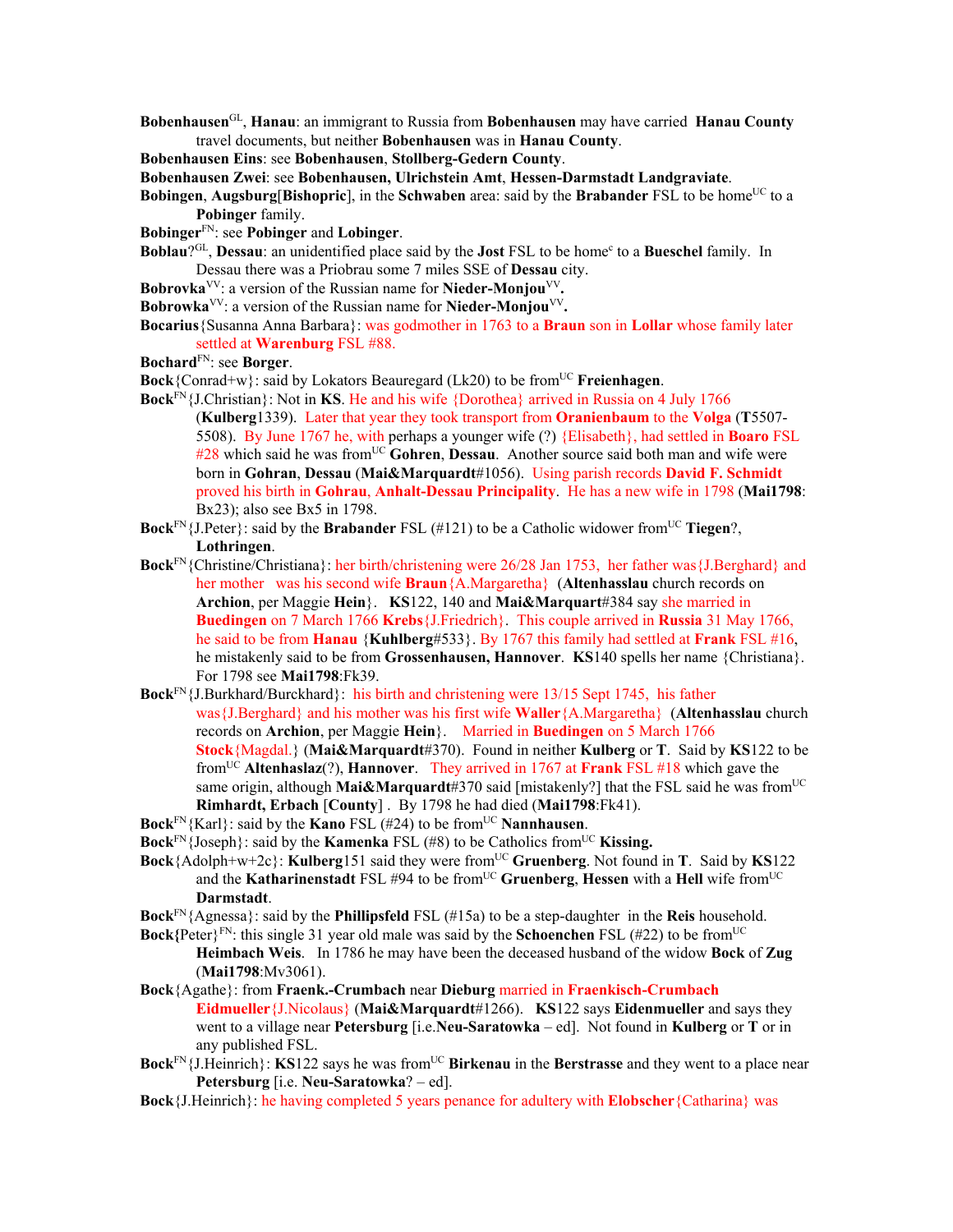- **Bobenhausen**GL, **Hanau**: an immigrant to Russia from **Bobenhausen** may have carried **Hanau County** travel documents, but neither **Bobenhausen** was in **Hanau County**.
- **Bobenhausen Eins**: see **Bobenhausen**, **Stollberg-Gedern County**.
- **Bobenhausen Zwei**: see **Bobenhausen, Ulrichstein Amt**, **Hessen-Darmstadt Landgraviate**.
- **Bobingen, Augsburg**[**Bishopric**], in the **Schwaben** area: said by the **Brabander** FSL to be home<sup>UC</sup> to a **Pobinger** family.
- **Bobinger**FN: see **Pobinger** and **Lobinger**.
- **Boblau**?GL, **Dessau**: an unidentified place said by the **Jost** FSL to be homec to a **Bueschel** family. In Dessau there was a Priobrau some 7 miles SSE of **Dessau** city.
- Bobrovka<sup>VV</sup>: a version of the Russian name for Nieder-Monjou<sup>VV</sup>.
- **Bobrowka**VV: a version of the Russian name for **Nieder-Monjou**VV**.**
- **Bocarius**{Susanna Anna Barbara}: was godmother in 1763 to a **Braun** son in **Lollar** whose family later settled at **Warenburg** FSL #88.

**Bochard**FN: see **Borger**.

**Bock**{Conrad+w}: said by Lokators Beauregard (Lk20) to be from<sup>UC</sup> **Freienhagen**.

- **Bock**FN{J.Christian}: Not in **KS**. He and his wife {Dorothea} arrived in Russia on 4 July 1766 (**Kulberg**1339). Later that year they took transport from **Oranienbaum** to the **Volga** (**T**5507- 5508). By June 1767 he, with perhaps a younger wife (?) {Elisabeth}, had settled in **Boaro** FSL #28 which said he was from<sup>UC</sup> Gohren, Dessau. Another source said both man and wife were born in **Gohran**, **Dessau** (**Mai&Marquardt**#1056). Using parish records **David F. Schmidt** proved his birth in **Gohrau**, **Anhalt-Dessau Principality**. He has a new wife in 1798 (**Mai1798**: Bx23); also see Bx5 in 1798.
- **Bock**<sup>FN</sup>{J.Peter}: said by the **Brabander** FSL (#121) to be a Catholic widower from<sup>UC</sup> Tiegen?, **Lothringen**.
- **Bock**FN{Christine/Christiana}: her birth/christening were 26/28 Jan 1753, her father was{J.Berghard} and her mother was his second wife **Braun**{A.Margaretha} (**Altenhasslau** church records on **Archion**, per Maggie **Hein**}. **KS**122, 140 and **Mai&Marquart**#384 say she married in **Buedingen** on 7 March 1766 **Krebs**{J.Friedrich}. This couple arrived in **Russia** 31 May 1766, he said to be from **Hanau** {**Kuhlberg**#533}. By 1767 this family had settled at **Frank** FSL #16, he mistakenly said to be from **Grossenhausen, Hannover**. **KS**140 spells her name {Christiana}. For 1798 see **Mai1798**:Fk39.
- **Bock**FN{J.Burkhard/Burckhard}: his birth and christening were 13/15 Sept 1745, his father was{J.Berghard} and his mother was his first wife **Waller**{A.Margaretha} (**Altenhasslau** church records on **Archion**, per Maggie **Hein**}. Married in **Buedingen** on 5 March 1766 **Stock**{Magdal.} (**Mai&Marquardt**#370). Found in neither **Kulberg** or **T**. Said by **KS**122 to be fromUC **Altenhaslaz**(?), **Hannover**.They arrived in 1767 at **Frank** FSL #18 which gave the same origin, although Mai&Marquardt#370 said [mistakenly?] that the FSL said he was from<sup>UC</sup> **Rimhardt, Erbach** [**County**] . By 1798 he had died (**Mai1798**:Fk41).
- **Bock**<sup>FN</sup>{Karl}: said by the **Kano** FSL (#24) to be from<sup>UC</sup> **Nannhausen**.
- **Bock**<sup>FN</sup>{Joseph}: said by the **Kamenka** FSL (#8) to be Catholics from<sup>UC</sup> **Kissing.**
- **Bock**{Adolph+w+2c}: **Kulberg**151 said they were fromUC **Gruenberg**. Not found in **T**. Said by **KS**122 and the **Katharinenstadt** FSL #94 to be from<sup>UC</sup> Gruenberg, Hessen with a Hell wife from<sup>UC</sup> **Darmstadt**.

**Bock**FN{Agnessa}: said by the **Phillipsfeld** FSL (#15a) to be a step-daughter in the **Reis** household.

- **Bock**{Peter}<sup>FN</sup>: this single 31 year old male was said by the **Schoenchen** FSL (#22) to be from<sup>UC</sup> **Heimbach Weis**. In 1786 he may have been the deceased husband of the widow **Bock** of **Zug** (**Mai1798**:Mv3061).
- **Bock**{Agathe}: from **Fraenk.-Crumbach** near **Dieburg** married in **Fraenkisch-Crumbach Eidmueller**{J.Nicolaus} (**Mai&Marquardt**#1266). **KS**122 says **Eidenmueller** and says they went to a village near **Petersburg** [i.e.**Neu-Saratowka** – ed]. Not found in **Kulberg** or **T** or in any published FSL.
- **Bock**<sup>FN</sup>{J.Heinrich}: **KS**122 says he was from<sup>UC</sup> **Birkenau** in the **Berstrasse** and they went to a place near **Petersburg** [i.e. **Neu-Saratowka**? – ed].
- **Bock**{J.Heinrich}: he having completed 5 years penance for adultery with **Elobscher**{Catharina} was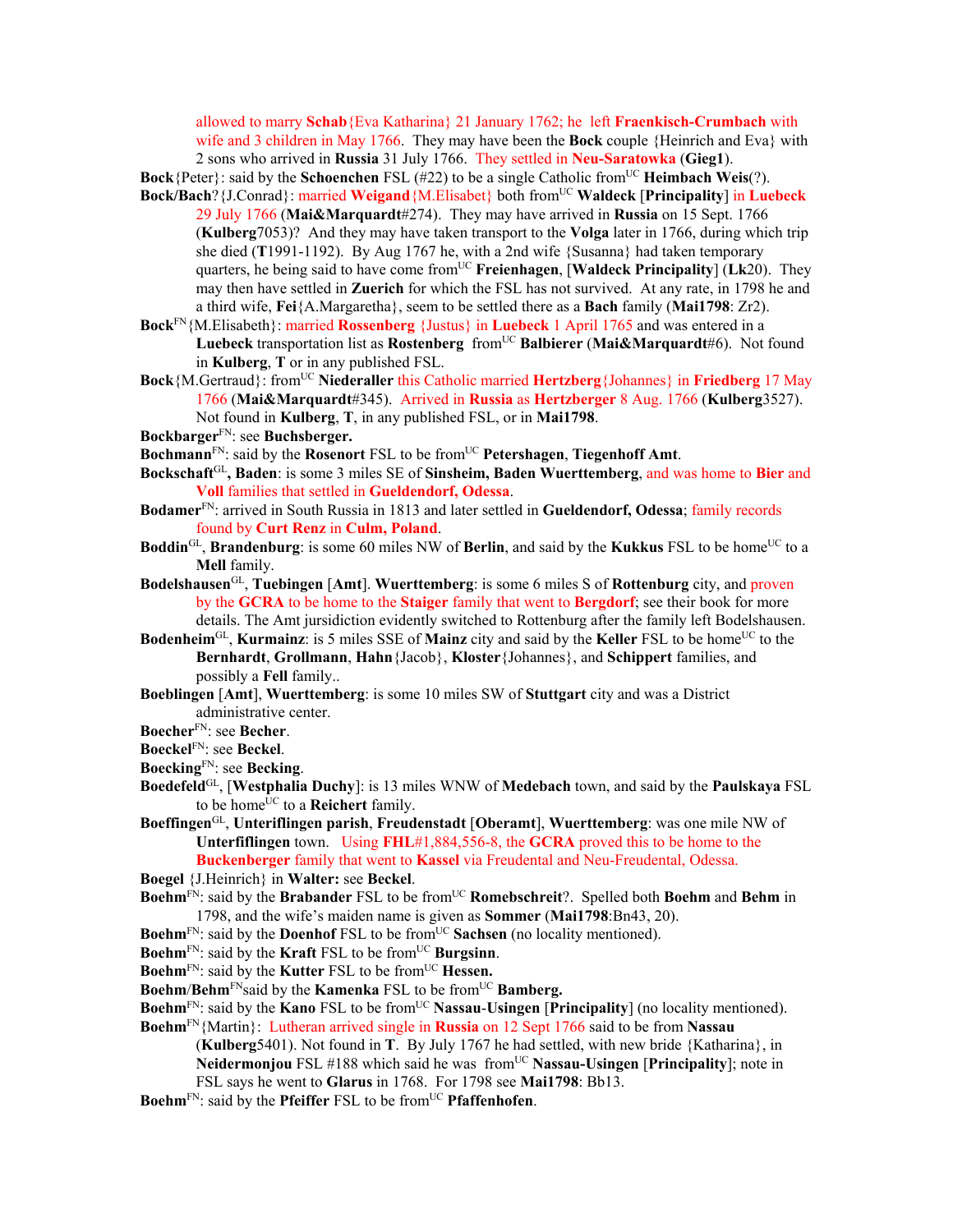allowed to marry **Schab**{Eva Katharina} 21 January 1762; he left **Fraenkisch-Crumbach** with wife and 3 children in May 1766. They may have been the **Bock** couple {Heinrich and Eva} with 2 sons who arrived in **Russia** 31 July 1766. They settled in **Neu-Saratowka** (**Gieg1**).

**Bock**{Peter}: said by the **Schoenchen** FSL (#22) to be a single Catholic from<sup>UC</sup> **Heimbach Weis**(?). **Bock/Bach**?{J.Conrad}: married **Weigand**{M.Elisabet} both from<sup>UC</sup> **Waldeck** [Principality] in Luebeck

29 July 1766 (**Mai&Marquardt**#274). They may have arrived in **Russia** on 15 Sept. 1766 (**Kulberg**7053)? And they may have taken transport to the **Volga** later in 1766, during which trip she died (**T**1991-1192). By Aug 1767 he, with a 2nd wife {Susanna} had taken temporary quarters, he being said to have come fromUC **Freienhagen**, [**Waldeck Principality**] (**Lk**20). They may then have settled in **Zuerich** for which the FSL has not survived. At any rate, in 1798 he and a third wife, **Fei**{A.Margaretha}, seem to be settled there as a **Bach** family (**Mai1798**: Zr2).

**Bock**FN{M.Elisabeth}: married **Rossenberg** {Justus} in **Luebeck** 1 April 1765 and was entered in a **Luebeck** transportation list as **Rostenberg** fromUC **Balbierer** (**Mai&Marquardt**#6). Not found in **Kulberg**, **T** or in any published FSL.

- **Bock**{M.Gertraud}: from<sup>UC</sup> **Niederaller** this Catholic married **Hertzberg**{Johannes} in **Friedberg** 17 May 1766 (**Mai&Marquardt**#345). Arrived in **Russia** as **Hertzberger** 8 Aug. 1766 (**Kulberg**3527). Not found in **Kulberg**, **T**, in any published FSL, or in **Mai1798**.
- **Bockbarger**FN: see **Buchsberger.**
- **Bochmann**FN: said by the **Rosenort** FSL to be fromUC **Petershagen**, **Tiegenhoff Amt**.
- **Bockschaft**GL**, Baden**: is some 3 miles SE of **Sinsheim, Baden Wuerttemberg**, and was home to **Bier** and **Voll** families that settled in **Gueldendorf, Odessa**.
- **Bodamer**FN: arrived in South Russia in 1813 and later settled in **Gueldendorf, Odessa**; family records found by **Curt Renz** in **Culm, Poland**.
- **Boddin**<sup>GL</sup>, **Brandenburg**: is some 60 miles NW of **Berlin**, and said by the **Kukkus** FSL to be home<sup>UC</sup> to a **Mell** family.
- **Bodelshausen**GL, **Tuebingen** [**Amt**]. **Wuerttemberg**: is some 6 miles S of **Rottenburg** city, and proven by the **GCRA** to be home to the **Staiger** family that went to **Bergdorf**; see their book for more details. The Amt jursidiction evidently switched to Rottenburg after the family left Bodelshausen.
- **Bodenheim**<sup>GL</sup>, **Kurmainz**: is 5 miles SSE of **Mainz** city and said by the **Keller** FSL to be home<sup>UC</sup> to the **Bernhardt**, **Grollmann**, **Hahn**{Jacob}, **Kloster**{Johannes}, and **Schippert** families, and possibly a **Fell** family..
- **Boeblingen** [**Amt**], **Wuerttemberg**: is some 10 miles SW of **Stuttgart** city and was a District administrative center.
- **Boecher**FN: see **Becher**.
- **Boeckel**FN: see **Beckel**.
- **Boecking**FN: see **Becking**.
- **Boedefeld**GL, [**Westphalia Duchy**]: is 13 miles WNW of **Medebach** town, and said by the **Paulskaya** FSL to be home<sup>UC</sup> to a **Reichert** family.
- **Boeffingen**GL, **Unteriflingen parish**, **Freudenstadt** [**Oberamt**], **Wuerttemberg**: was one mile NW of **Unterfiflingen** town. Using **FHL**#1,884,556-8, the **GCRA** proved this to be home to the **Buckenberger** family that went to **Kassel** via Freudental and Neu-Freudental, Odessa.
- **Boegel** {J.Heinrich} in **Walter:** see **Beckel**.
- **Boehm**FN: said by the **Brabander** FSL to be fromUC **Romebschreit**?. Spelled both **Boehm** and **Behm** in 1798, and the wife's maiden name is given as **Sommer** (**Mai1798**:Bn43, 20).
- **Boehm**<sup>FN</sup>: said by the **Doenhof** FSL to be from<sup>UC</sup> **Sachsen** (no locality mentioned).
- **Boehm<sup>FN</sup>: said by the Kraft** FSL to be from<sup>UC</sup> Burgsinn.
- **Boehm**<sup>FN</sup>: said by the **Kutter** FSL to be from<sup>UC</sup> **Hessen.**
- **Boehm/Behm**<sup>FN</sup>said by the **Kamenka** FSL to be from<sup>UC</sup> **Bamberg.**
- **Boehm**FN: said by the **Kano** FSL to be fromUC **Nassau**-**Usingen** [**Principality**] (no locality mentioned).
- **Boehm**FN{Martin}: Lutheran arrived single in **Russia** on 12 Sept 1766 said to be from **Nassau** (**Kulberg**5401). Not found in **T**. By July 1767 he had settled, with new bride {Katharina}, in **Neidermoniou** FSL #188 which said he was from<sup>UC</sup> Nassau-Usingen [Principality]; note in FSL says he went to **Glarus** in 1768. For 1798 see **Mai1798**: Bb13.
- Boehm<sup>FN</sup>: said by the **Pfeiffer** FSL to be from<sup>UC</sup> **Pfaffenhofen**.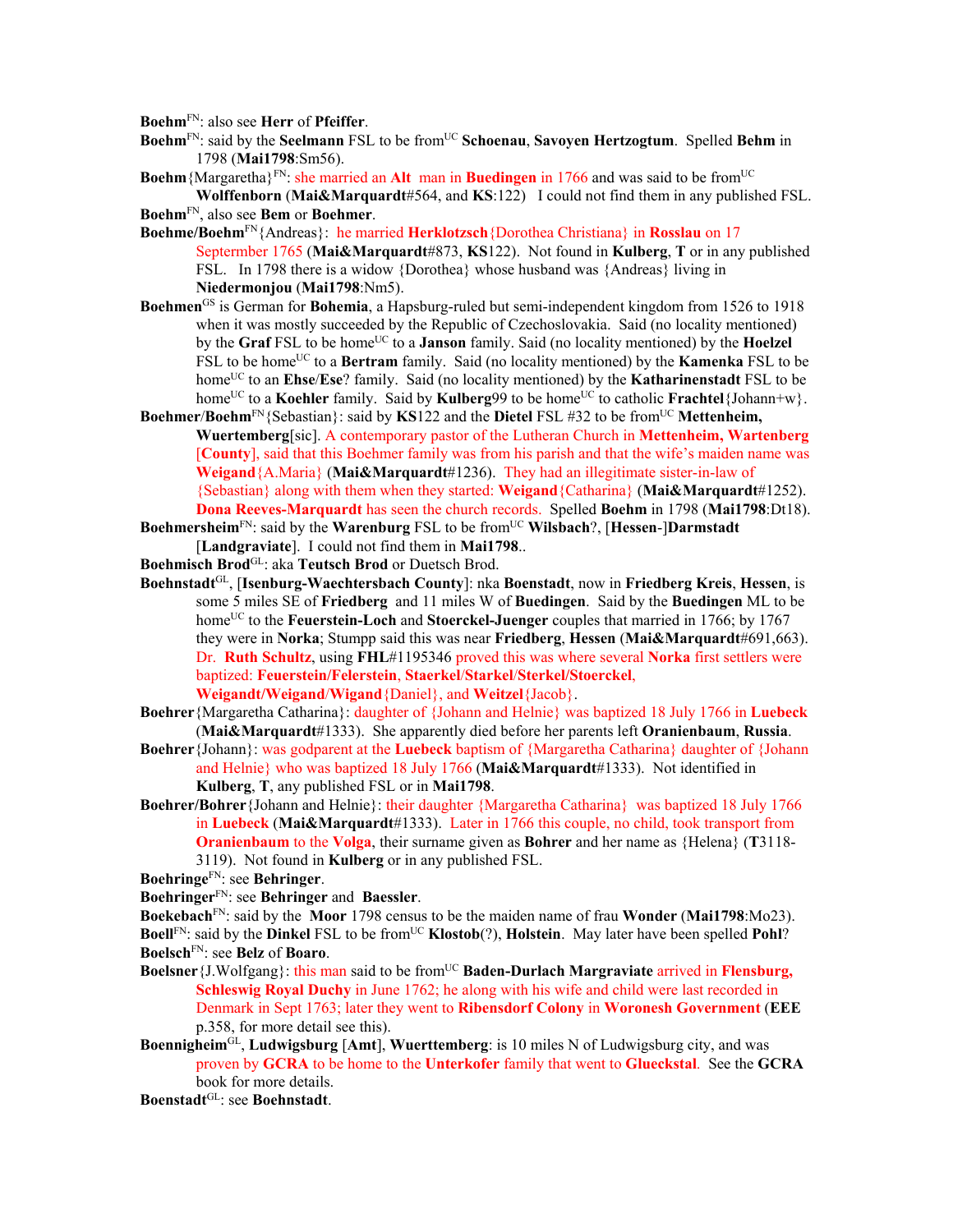**Boehm**FN: also see **Herr** of **Pfeiffer**.

- **Boehm**<sup>FN</sup>: said by the **Seelmann** FSL to be from<sup>UC</sup> **Schoenau**, **Savoyen Hertzogtum**. Spelled **Behm** in 1798 (**Mai1798**:Sm56).
- **Boehm** {Margaretha}<sup>FN</sup>: she married an **Alt** man in **Buedingen** in 1766 and was said to be from<sup>UC</sup> **Wolffenborn** (**Mai&Marquardt**#564, and **KS**:122) I could not find them in any published FSL.

**Boehm**FN, also see **Bem** or **Boehmer**.

- **Boehme/Boehm**FN{Andreas}: he married **Herklotzsch**{Dorothea Christiana} in **Rosslau** on 17 Septermber 1765 (**Mai&Marquardt**#873, **KS**122). Not found in **Kulberg**, **T** or in any published FSL. In 1798 there is a widow {Dorothea} whose husband was {Andreas} living in **Niedermonjou** (**Mai1798**:Nm5).
- **Boehmen**GS is German for **Bohemia**, a Hapsburg-ruled but semi-independent kingdom from 1526 to 1918 when it was mostly succeeded by the Republic of Czechoslovakia. Said (no locality mentioned) by the **Graf** FSL to be home<sup>UC</sup> to a **Janson** family. Said (no locality mentioned) by the **Hoelzel** FSL to be home<sup>UC</sup> to a **Bertram** family. Said (no locality mentioned) by the **Kamenka** FSL to be homeUC to an **Ehse**/**Ese**? family. Said (no locality mentioned) by the **Katharinenstadt** FSL to be home<sup>UC</sup> to a **Koehler** family. Said by **Kulberg**99 to be home<sup>UC</sup> to catholic **Frachtel**{Johann+w}.
- **Boehmer/Boehm**<sup>FN</sup>{Sebastian}: said by **KS**122 and the **Dietel** FSL #32 to be from<sup>UC</sup> Mettenheim, **Wuertemberg**[sic]. A contemporary pastor of the Lutheran Church in **Mettenheim, Wartenberg** [**County**], said that this Boehmer family was from his parish and that the wife's maiden name was **Weigand**{A.Maria} (**Mai&Marquardt**#1236). They had an illegitimate sister-in-law of {Sebastian} along with them when they started: **Weigand**{Catharina} (**Mai&Marquardt**#1252). **Dona Reeves-Marquardt** has seen the church records. Spelled **Boehm** in 1798 (**Mai1798**:Dt18).
- Boehmersheim<sup>FN</sup>: said by the Warenburg FSL to be from<sup>UC</sup> Wilsbach?, [Hessen-]Darmstadt [**Landgraviate**]. I could not find them in **Mai1798**..
- **Boehmisch Brod**GL: aka **Teutsch Brod** or Duetsch Brod.
- **Boehnstadt**GL, [**Isenburg-Waechtersbach County**]: nka **Boenstadt**, now in **Friedberg Kreis**, **Hessen**, is some 5 miles SE of **Friedberg** and 11 miles W of **Buedingen**.Said by the **Buedingen** ML to be home<sup>UC</sup> to the **Feuerstein-Loch** and **Stoerckel-Juenger** couples that married in 1766; by 1767 they were in **Norka**; Stumpp said this was near **Friedberg**, **Hessen** (**Mai&Marquardt**#691,663). Dr. **Ruth Schultz**, using **FHL**#1195346 proved this was where several **Norka** first settlers were baptized: **Feuerstein/Felerstein**, **Staerkel**/**Starkel**/**Sterkel/Stoerckel**, **Weigandt/Weigand**/**Wigand**{Daniel}, and **Weitzel**{Jacob}.
- **Boehrer**{Margaretha Catharina}: daughter of {Johann and Helnie} was baptized 18 July 1766 in **Luebeck** (**Mai&Marquardt**#1333). She apparently died before her parents left **Oranienbaum**, **Russia**.
- **Boehrer**{Johann}: was godparent at the **Luebeck** baptism of {Margaretha Catharina} daughter of {Johann and Helnie} who was baptized 18 July 1766 (**Mai&Marquardt**#1333). Not identified in **Kulberg**, **T**, any published FSL or in **Mai1798**.
- **Boehrer/Bohrer**{Johann and Helnie}: their daughter {Margaretha Catharina} was baptized 18 July 1766 in **Luebeck** (**Mai&Marquardt**#1333). Later in 1766 this couple, no child, took transport from **Oranienbaum** to the **Volga**, their surname given as **Bohrer** and her name as {Helena} (**T**3118- 3119). Not found in **Kulberg** or in any published FSL.

**Boehringe**FN: see **Behringer**.

**Boehringer**FN: see **Behringer** and **Baessler**.

**Boekebach**FN: said by the **Moor** 1798 census to be the maiden name of frau **Wonder** (**Mai1798**:Mo23). **Boell**<sup>FN</sup>: said by the **Dinkel** FSL to be from<sup>UC</sup> **Klostob**(?), **Holstein**. May later have been spelled **Pohl**? **Boelsch**FN: see **Belz** of **Boaro**.

**Boelsner** {J.Wolfgang}: this man said to be from<sup>UC</sup> **Baden-Durlach Margraviate** arrived in **Flensburg**, **Schleswig Royal Duchy** in June 1762; he along with his wife and child were last recorded in Denmark in Sept 1763; later they went to **Ribensdorf Colony** in **Woronesh Government** (**EEE** p.358, for more detail see this).

**Boennigheim**GL, **Ludwigsburg** [**Amt**], **Wuerttemberg**: is 10 miles N of Ludwigsburg city, and was proven by **GCRA** to be home to the **Unterkofer** family that went to **Glueckstal**. See the **GCRA** book for more details.

**Boenstadt**GL: see **Boehnstadt**.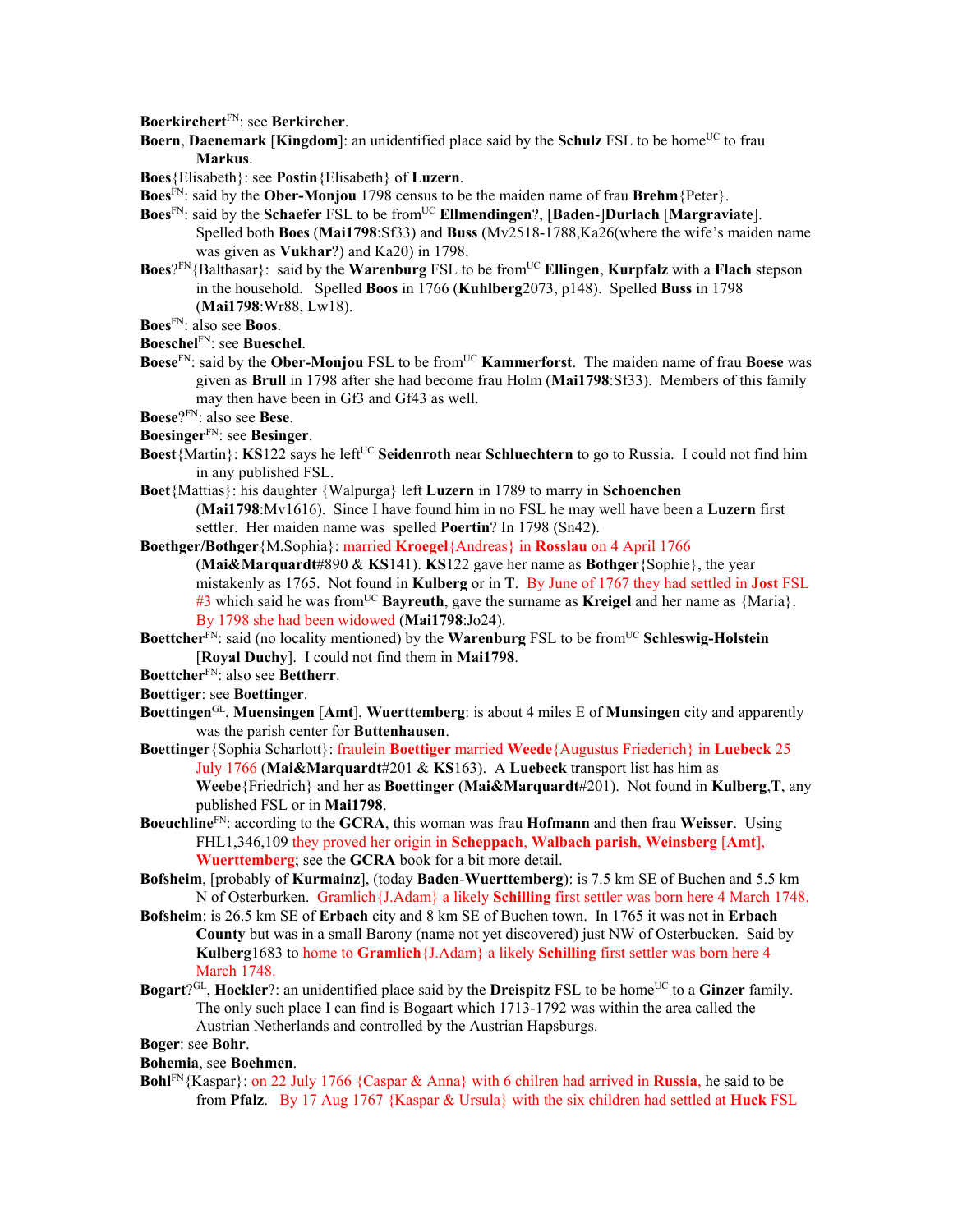**Boerkirchert**FN: see **Berkircher**.

**Boern, Daenemark [Kingdom**]: an unidentified place said by the **Schulz** FSL to be home<sup>UC</sup> to frau **Markus**.

**Boes**{Elisabeth}: see **Postin**{Elisabeth} of **Luzern**.

**Boes**FN: said by the **Ober-Monjou** 1798 census to be the maiden name of frau **Brehm**{Peter}.

- **Boes**<sup>FN</sup>: said by the **Schaefer** FSL to be from<sup>UC</sup> **Ellmendingen**?, [Baden-]Durlach [Margraviate]. Spelled both **Boes** (**Mai1798**:Sf33) and **Buss** (Mv2518-1788,Ka26(where the wife's maiden name was given as **Vukhar**?) and Ka20) in 1798.
- **Boes**?<sup>FN</sup>{Balthasar}: said by the **Warenburg** FSL to be from<sup>UC</sup> **Ellingen**, **Kurpfalz** with a **Flach** stepson in the household. Spelled **Boos** in 1766 (**Kuhlberg**2073, p148). Spelled **Buss** in 1798 (**Mai1798**:Wr88, Lw18).
- **Boes**FN: also see **Boos**.
- **Boeschel**FN: see **Bueschel**.
- **Boese**<sup>FN</sup>: said by the **Ober-Monjou** FSL to be from<sup>UC</sup> **Kammerforst**. The maiden name of frau **Boese** was given as **Brull** in 1798 after she had become frau Holm (**Mai1798**:Sf33). Members of this family may then have been in Gf3 and Gf43 as well.

**Boese**?FN: also see **Bese**.

- **Boesinger**FN: see **Besinger**.
- **Boest**{Martin}: **KS**122 says he left<sup>UC</sup> Seidenroth near Schluechtern to go to Russia. I could not find him in any published FSL.
- **Boet**{Mattias}: his daughter {Walpurga} left **Luzern** in 1789 to marry in **Schoenchen** (**Mai1798**:Mv1616). Since I have found him in no FSL he may well have been a **Luzern** first settler. Her maiden name was spelled **Poertin**? In 1798 (Sn42).
- **Boethger/Bothger**{M.Sophia}: married **Kroegel**{Andreas} in **Rosslau** on 4 April 1766 (**Mai&Marquardt**#890 & **KS**141). **KS**122 gave her name as **Bothger**{Sophie}, the year mistakenly as 1765. Not found in **Kulberg** or in **T**. By June of 1767 they had settled in **Jost** FSL #3 which said he was fromUC **Bayreuth**, gave the surname as **Kreigel** and her name as {Maria}. By 1798 she had been widowed (**Mai1798**:Jo24).
- **Boettcher**<sup>FN</sup>: said (no locality mentioned) by the **Warenburg** FSL to be from<sup>UC</sup> **Schleswig-Holstein** [**Royal Duchy**]. I could not find them in **Mai1798**.
- **Boettcher**FN: also see **Bettherr**.
- **Boettiger**: see **Boettinger**.
- **Boettingen**GL, **Muensingen** [**Amt**], **Wuerttemberg**: is about 4 miles E of **Munsingen** city and apparently was the parish center for **Buttenhausen**.
- **Boettinger**{Sophia Scharlott}: fraulein **Boettiger** married **Weede**{Augustus Friederich} in **Luebeck** 25 July 1766 (**Mai&Marquardt**#201 & **KS**163). A **Luebeck** transport list has him as **Weebe**{Friedrich} and her as **Boettinger** (**Mai&Marquardt**#201). Not found in **Kulberg**,**T**, any published FSL or in **Mai1798**.
- **Boeuchline**FN: according to the **GCRA**, this woman was frau **Hofmann** and then frau **Weisser**. Using FHL1,346,109 they proved her origin in **Scheppach**, **Walbach parish**, **Weinsberg** [**Amt**], **Wuerttemberg**; see the **GCRA** book for a bit more detail.
- **Bofsheim**, [probably of **Kurmainz**], (today **Baden**-**Wuerttemberg**): is 7.5 km SE of Buchen and 5.5 km N of Osterburken. Gramlich{J.Adam} a likely **Schilling** first settler was born here 4 March 1748.
- **Bofsheim**: is 26.5 km SE of **Erbach** city and 8 km SE of Buchen town. In 1765 it was not in **Erbach County** but was in a small Barony (name not yet discovered) just NW of Osterbucken. Said by **Kulberg**1683 to home to **Gramlich**{J.Adam} a likely **Schilling** first settler was born here 4 March 1748.
- **Bogart**?<sup>GL</sup>, **Hockler**?: an unidentified place said by the **Dreispitz** FSL to be home<sup>UC</sup> to a **Ginzer** family. The only such place I can find is Bogaart which 1713-1792 was within the area called the Austrian Netherlands and controlled by the Austrian Hapsburgs.
- **Boger**: see **Bohr**.

**Bohemia**, see **Boehmen**.

**Bohl**FN{Kaspar}: on 22 July 1766 {Caspar & Anna} with 6 chilren had arrived in **Russia**, he said to be from **Pfalz**.By 17 Aug 1767 {Kaspar & Ursula} with the six children had settled at **Huck** FSL